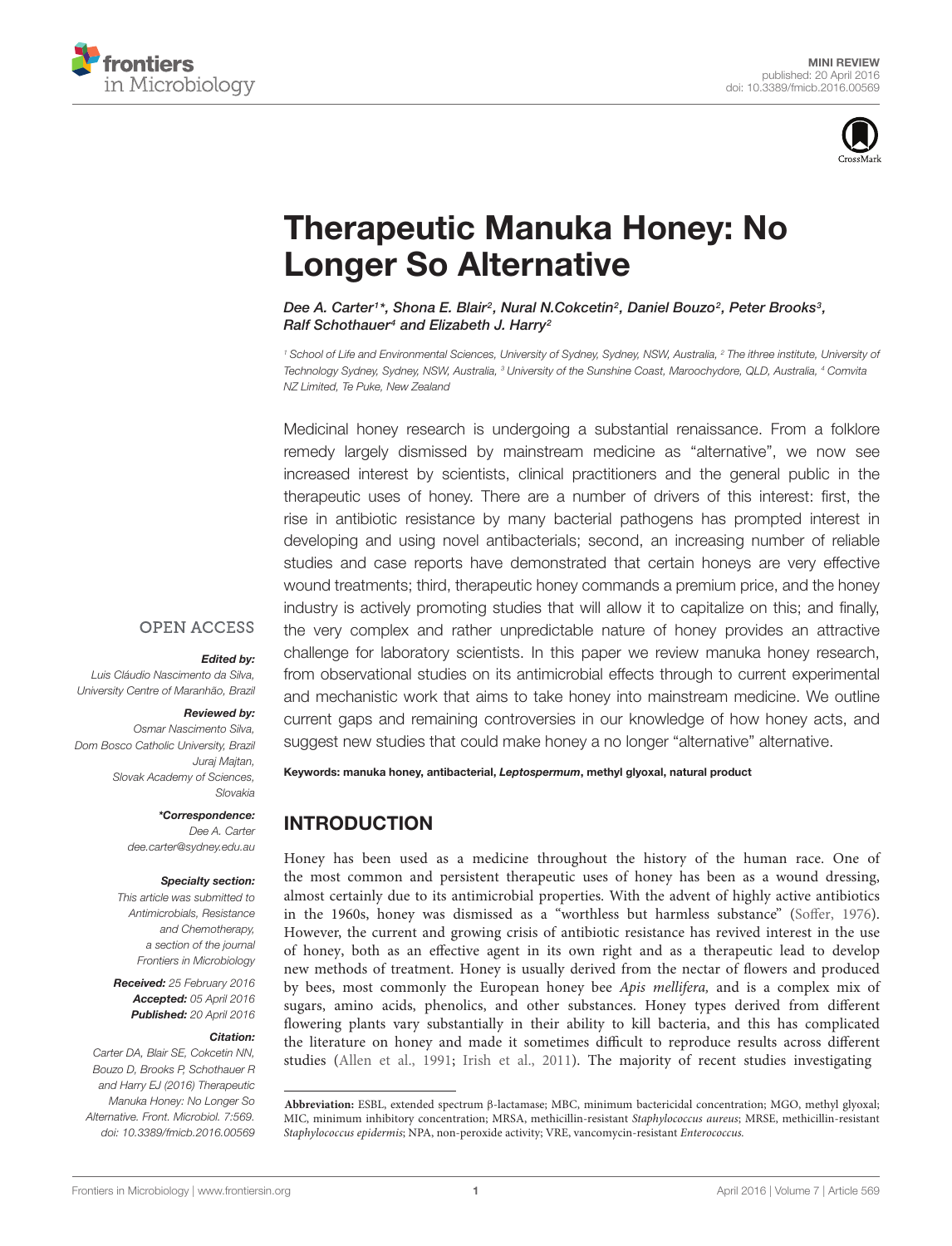



# [Therapeutic Manuka Honey: No](http://journal.frontiersin.org/article/10.3389/fmicb.2016.00569/abstract) Longer So Alternative

[Dee A. Carter](http://loop.frontiersin.org/people/44596/overview)1\*, Shona E. Blair<sup>2</sup>, [Nural N.Cokcetin](http://loop.frontiersin.org/people/274755/overview)<sup>2</sup>, [Daniel Bouzo](http://loop.frontiersin.org/people/324878/overview)<sup>2</sup>, Peter Brooks<sup>3</sup>, [Ralf Schothauer](http://loop.frontiersin.org/people/203177/overview)<sup>4</sup> and Elizabeth J. Harry<sup>2</sup>

<sup>1</sup> School of Life and Environmental Sciences, University of Sydney, Sydney, NSW, Australia, <sup>2</sup> The ithree institute, University of Technology Sydney, Sydney, NSW, Australia, <sup>3</sup> University of the Sunshine Coast, Maroochydore, QLD, Australia, <sup>4</sup> Comvita NZ Limited, Te Puke, New Zealand

Medicinal honey research is undergoing a substantial renaissance. From a folklore remedy largely dismissed by mainstream medicine as "alternative", we now see increased interest by scientists, clinical practitioners and the general public in the therapeutic uses of honey. There are a number of drivers of this interest: first, the rise in antibiotic resistance by many bacterial pathogens has prompted interest in developing and using novel antibacterials; second, an increasing number of reliable studies and case reports have demonstrated that certain honeys are very effective wound treatments; third, therapeutic honey commands a premium price, and the honey industry is actively promoting studies that will allow it to capitalize on this; and finally, the very complex and rather unpredictable nature of honey provides an attractive challenge for laboratory scientists. In this paper we review manuka honey research, from observational studies on its antimicrobial effects through to current experimental and mechanistic work that aims to take honey into mainstream medicine. We outline current gaps and remaining controversies in our knowledge of how honey acts, and suggest new studies that could make honey a no longer "alternative" alternative.

### **OPEN ACCESS**

#### Edited by:

Luis Cláudio Nascimento da Silva, University Centre of Maranhão, Brazil

### Reviewed by:

Osmar Nascimento Silva, Dom Bosco Catholic University, Brazil Juraj Majtan, Slovak Academy of Sciences, Slovakia

> \*Correspondence: Dee A. Carter dee.carter@sydney.edu.au

#### Specialty section:

This article was submitted to Antimicrobials, Resistance and Chemotherapy, a section of the journal Frontiers in Microbiology

Received: 25 February 2016 Accepted: 05 April 2016 Published: 20 April 2016

#### Citation:

Carter DA, Blair SE, Cokcetin NN, Bouzo D, Brooks P, Schothauer R and Harry EJ (2016) Therapeutic Manuka Honey: No Longer So Alternative. Front. Microbiol. 7:569. doi: [10.3389/fmicb.2016.00569](http://dx.doi.org/10.3389/fmicb.2016.00569)

Keywords: manuka honey, antibacterial, Leptospermum, methyl glyoxal, natural product

# INTRODUCTION

Honey has been used as a medicine throughout the history of the human race. One of the most common and persistent therapeutic uses of honey has been as a wound dressing, almost certainly due to its antimicrobial properties. With the advent of highly active antibiotics in the 1960s, honey was dismissed as a "worthless but harmless substance" [\(Soffer, 1976\)](#page-9-0). However, the current and growing crisis of antibiotic resistance has revived interest in the use of honey, both as an effective agent in its own right and as a therapeutic lead to develop new methods of treatment. Honey is usually derived from the nectar of flowers and produced by bees, most commonly the European honey bee Apis mellifera, and is a complex mix of sugars, amino acids, phenolics, and other substances. Honey types derived from different flowering plants vary substantially in their ability to kill bacteria, and this has complicated the literature on honey and made it sometimes difficult to reproduce results across different studies [\(Allen et al., 1991;](#page-8-0) [Irish et al., 2011\)](#page-8-1). The majority of recent studies investigating

**Abbreviation:** ESBL, extended spectrum β-lactamase; MBC, minimum bactericidal concentration; MGO, methyl glyoxal; MIC, minimum inhibitory concentration; MRSA, methicillin-resistant Staphylococcus aureus; MRSE, methicillin-resistant Staphylococcus epidermis; NPA, non-peroxide activity; VRE, vancomycin-resistant Enterococcus.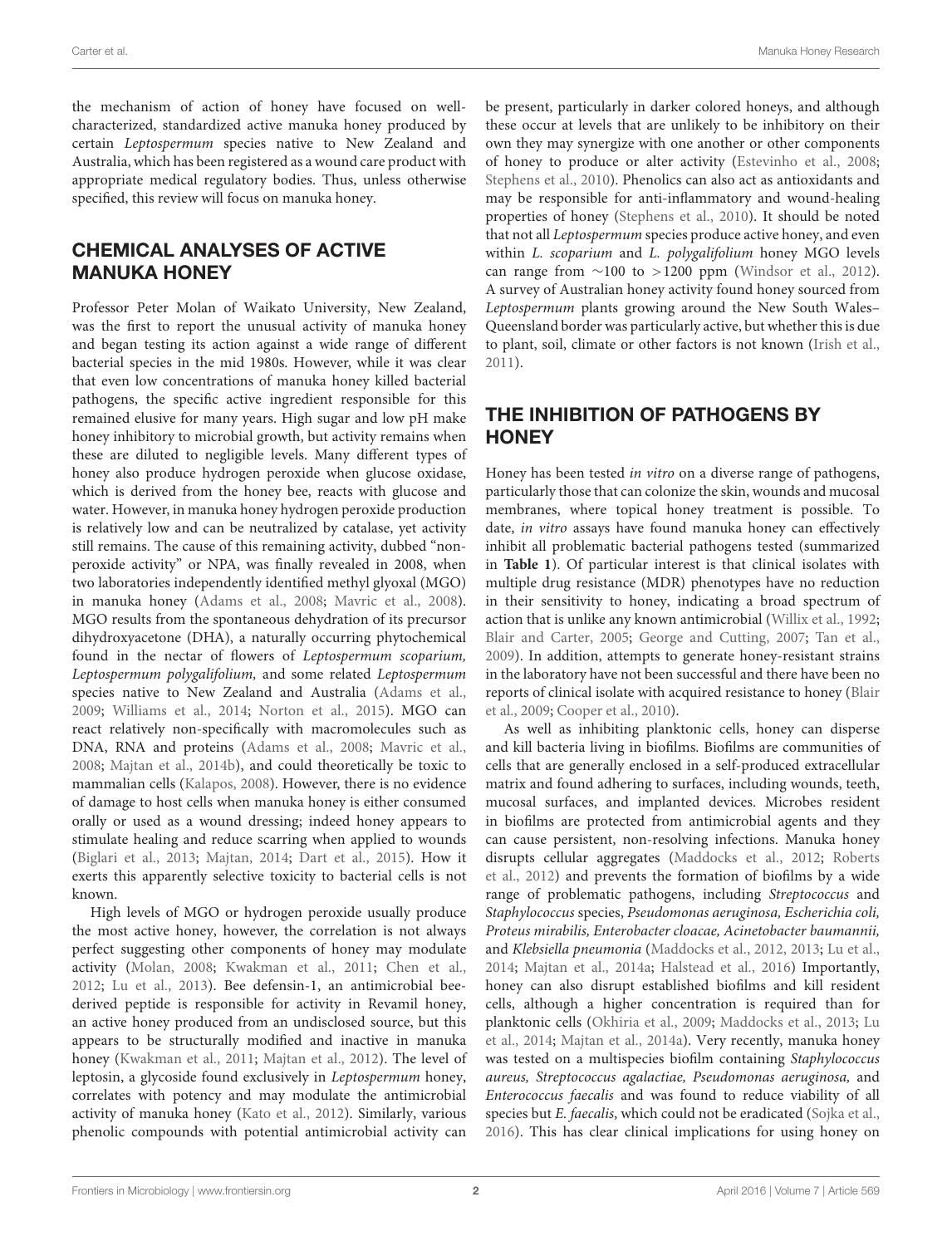the mechanism of action of honey have focused on wellcharacterized, standardized active manuka honey produced by certain Leptospermum species native to New Zealand and Australia, which has been registered as a wound care product with appropriate medical regulatory bodies. Thus, unless otherwise specified, this review will focus on manuka honey.

# CHEMICAL ANALYSES OF ACTIVE MANUKA HONEY

Professor Peter Molan of Waikato University, New Zealand, was the first to report the unusual activity of manuka honey and began testing its action against a wide range of different bacterial species in the mid 1980s. However, while it was clear that even low concentrations of manuka honey killed bacterial pathogens, the specific active ingredient responsible for this remained elusive for many years. High sugar and low pH make honey inhibitory to microbial growth, but activity remains when these are diluted to negligible levels. Many different types of honey also produce hydrogen peroxide when glucose oxidase, which is derived from the honey bee, reacts with glucose and water. However, in manuka honey hydrogen peroxide production is relatively low and can be neutralized by catalase, yet activity still remains. The cause of this remaining activity, dubbed "nonperoxide activity" or NPA, was finally revealed in 2008, when two laboratories independently identified methyl glyoxal (MGO) in manuka honey [\(Adams et al.,](#page-8-2) [2008;](#page-8-2) [Mavric et al.,](#page-9-1) [2008\)](#page-9-1). MGO results from the spontaneous dehydration of its precursor dihydroxyacetone (DHA), a naturally occurring phytochemical found in the nectar of flowers of Leptospermum scoparium, Leptospermum polygalifolium, and some related Leptospermum species native to New Zealand and Australia [\(Adams et al.,](#page-8-3) [2009;](#page-8-3) [Williams et al.,](#page-9-2) [2014;](#page-9-2) [Norton et al.,](#page-9-3) [2015\)](#page-9-3). MGO can react relatively non-specifically with macromolecules such as DNA, RNA and proteins [\(Adams et al.,](#page-8-2) [2008;](#page-8-2) [Mavric et al.,](#page-9-1) [2008;](#page-9-1) [Majtan et al.,](#page-9-4) [2014b\)](#page-9-4), and could theoretically be toxic to mammalian cells [\(Kalapos,](#page-8-4) [2008\)](#page-8-4). However, there is no evidence of damage to host cells when manuka honey is either consumed orally or used as a wound dressing; indeed honey appears to stimulate healing and reduce scarring when applied to wounds [\(Biglari et al.,](#page-8-5) [2013;](#page-8-5) [Majtan,](#page-9-5) [2014;](#page-9-5) [Dart et al.,](#page-8-6) [2015\)](#page-8-6). How it exerts this apparently selective toxicity to bacterial cells is not known.

High levels of MGO or hydrogen peroxide usually produce the most active honey, however, the correlation is not always perfect suggesting other components of honey may modulate activity [\(Molan,](#page-9-6) [2008;](#page-9-6) [Kwakman et al.,](#page-8-7) [2011;](#page-8-7) [Chen et al.,](#page-8-8) [2012;](#page-8-8) [Lu et al.,](#page-9-7) [2013\)](#page-9-7). Bee defensin-1, an antimicrobial beederived peptide is responsible for activity in Revamil honey, an active honey produced from an undisclosed source, but this appears to be structurally modified and inactive in manuka honey [\(Kwakman et al.,](#page-8-7) [2011;](#page-8-7) [Majtan et al.,](#page-9-8) [2012\)](#page-9-8). The level of leptosin, a glycoside found exclusively in Leptospermum honey, correlates with potency and may modulate the antimicrobial activity of manuka honey [\(Kato et al.,](#page-8-9) [2012\)](#page-8-9). Similarly, various phenolic compounds with potential antimicrobial activity can

be present, particularly in darker colored honeys, and although these occur at levels that are unlikely to be inhibitory on their own they may synergize with one another or other components of honey to produce or alter activity [\(Estevinho et al.,](#page-8-10) [2008;](#page-8-10) [Stephens et al.,](#page-9-9) [2010\)](#page-9-9). Phenolics can also act as antioxidants and may be responsible for anti-inflammatory and wound-healing properties of honey [\(Stephens et al.,](#page-9-9) [2010\)](#page-9-9). It should be noted that not all Leptospermum species produce active honey, and even within L. scoparium and L. polygalifolium honey MGO levels can range from  $∼100$  to  $>1200$  ppm [\(Windsor et al.,](#page-10-0) [2012\)](#page-10-0). A survey of Australian honey activity found honey sourced from Leptospermum plants growing around the New South Wales– Queensland border was particularly active, but whether this is due to plant, soil, climate or other factors is not known [\(Irish et al.,](#page-8-1) [2011\)](#page-8-1).

# THE INHIBITION OF PATHOGENS BY **HONEY**

Honey has been tested in vitro on a diverse range of pathogens, particularly those that can colonize the skin, wounds and mucosal membranes, where topical honey treatment is possible. To date, in vitro assays have found manuka honey can effectively inhibit all problematic bacterial pathogens tested (summarized in **[Table 1](#page-2-0)**). Of particular interest is that clinical isolates with multiple drug resistance (MDR) phenotypes have no reduction in their sensitivity to honey, indicating a broad spectrum of action that is unlike any known antimicrobial [\(Willix et al.,](#page-10-1) [1992;](#page-10-1) [Blair and Carter,](#page-8-11) [2005;](#page-8-11) [George and Cutting,](#page-8-12) [2007;](#page-8-12) [Tan et al.,](#page-9-10) [2009\)](#page-9-10). In addition, attempts to generate honey-resistant strains in the laboratory have not been successful and there have been no reports of clinical isolate with acquired resistance to honey [\(Blair](#page-8-13) [et al.,](#page-8-13) [2009;](#page-8-13) [Cooper et al.,](#page-8-14) [2010\)](#page-8-14).

As well as inhibiting planktonic cells, honey can disperse and kill bacteria living in biofilms. Biofilms are communities of cells that are generally enclosed in a self-produced extracellular matrix and found adhering to surfaces, including wounds, teeth, mucosal surfaces, and implanted devices. Microbes resident in biofilms are protected from antimicrobial agents and they can cause persistent, non-resolving infections. Manuka honey disrupts cellular aggregates [\(Maddocks et al.,](#page-9-11) [2012;](#page-9-11) [Roberts](#page-9-12) [et al.,](#page-9-12) [2012\)](#page-9-12) and prevents the formation of biofilms by a wide range of problematic pathogens, including Streptococcus and Staphylococcus species, Pseudomonas aeruginosa, Escherichia coli, Proteus mirabilis, Enterobacter cloacae, Acinetobacter baumannii, and Klebsiella pneumonia [\(Maddocks et al.,](#page-9-11) [2012,](#page-9-11) [2013;](#page-9-13) [Lu et al.,](#page-9-14) [2014;](#page-9-14) [Majtan et al.,](#page-9-15) [2014a;](#page-9-15) [Halstead et al.,](#page-8-15) [2016\)](#page-8-15) Importantly, honey can also disrupt established biofilms and kill resident cells, although a higher concentration is required than for planktonic cells [\(Okhiria et al.,](#page-9-16) [2009;](#page-9-16) [Maddocks et al.,](#page-9-13) [2013;](#page-9-13) [Lu](#page-9-14) [et al.,](#page-9-14) [2014;](#page-9-14) [Majtan et al.,](#page-9-15) [2014a\)](#page-9-15). Very recently, manuka honey was tested on a multispecies biofilm containing Staphylococcus aureus, Streptococcus agalactiae, Pseudomonas aeruginosa, and Enterococcus faecalis and was found to reduce viability of all species but E. faecalis, which could not be eradicated [\(Sojka et al.,](#page-9-17) [2016\)](#page-9-17). This has clear clinical implications for using honey on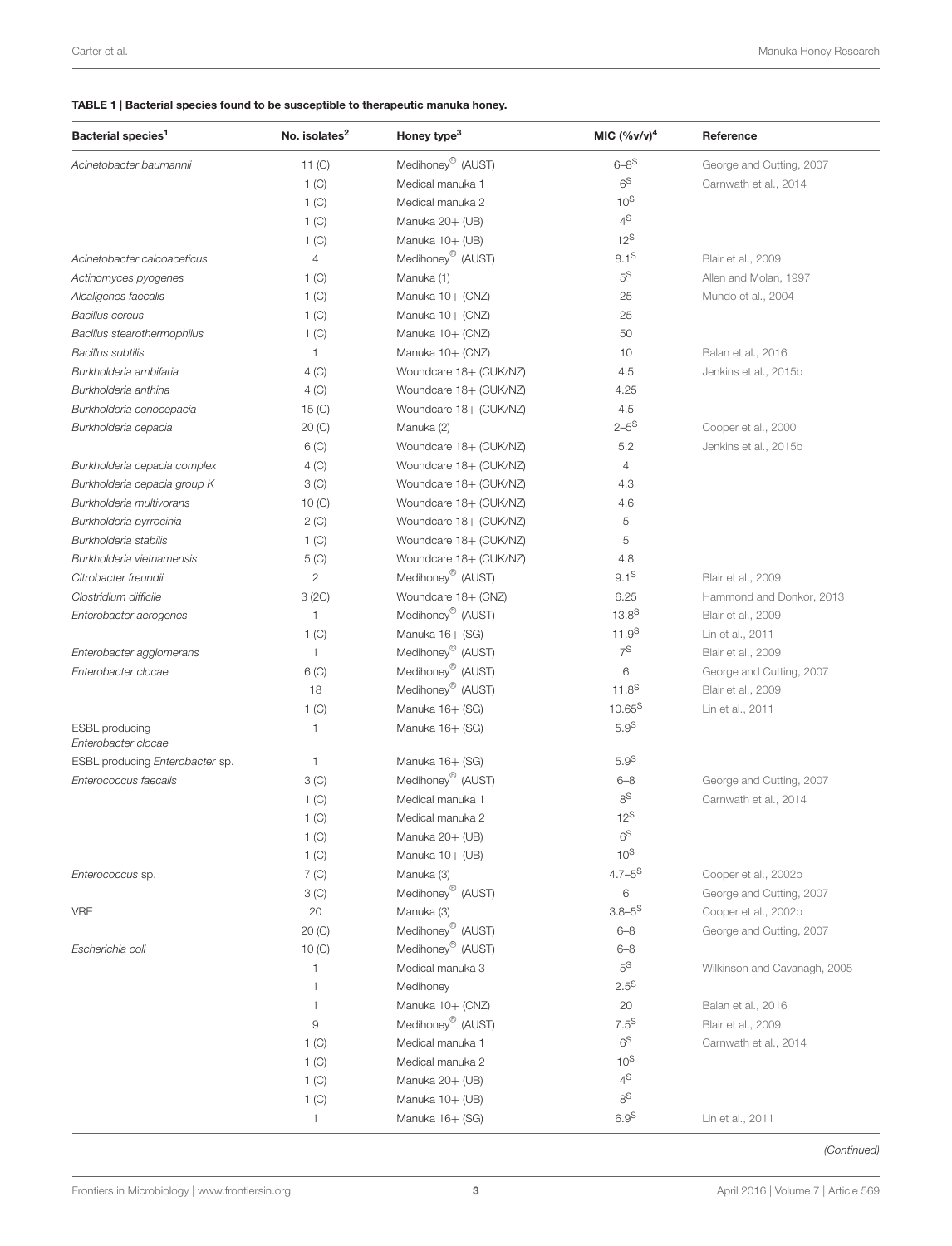### <span id="page-2-0"></span>TABLE 1 | Bacterial species found to be susceptible to therapeutic manuka honey.

| Bacterial species <sup>1</sup>  | No. isolates <sup>2</sup> | Honey type <sup>3</sup>       | MIC $({\%v/v})^4$    | Reference                    |
|---------------------------------|---------------------------|-------------------------------|----------------------|------------------------------|
| Acinetobacter baumannii         | 11 $(C)$                  | Medihoney <sup>®</sup> (AUST) | $6 - 8$ <sup>S</sup> | George and Cutting, 2007     |
|                                 | 1(C)                      | Medical manuka 1              | 6 <sup>S</sup>       | Carnwath et al., 2014        |
|                                 | 1 <sub>(C)</sub>          | Medical manuka 2              | $10^{S}$             |                              |
|                                 | 1 <sub>(C)</sub>          | Manuka 20+ (UB)               | $4^{\text{S}}$       |                              |
|                                 | 1 <sup>(C)</sup>          | Manuka 10+ (UB)               | $12^{\text{S}}$      |                              |
| Acinetobacter calcoaceticus     | 4                         | Medihoney <sup>®</sup> (AUST) | $8.1^{\text{S}}$     | Blair et al., 2009           |
| Actinomyces pyogenes            | 1 <sub>(C)</sub>          | Manuka (1)                    | $5^{\text{S}}$       | Allen and Molan, 1997        |
| Alcaligenes faecalis            | 1 $(C)$                   | Manuka 10+ (CNZ)              | 25                   | Mundo et al., 2004           |
| <b>Bacillus cereus</b>          | 1 <sub>(C)</sub>          | Manuka 10+ (CNZ)              | 25                   |                              |
| Bacillus stearothermophilus     | 1 <sub>(C)</sub>          | Manuka 10+ (CNZ)              | 50                   |                              |
| <b>Bacillus subtilis</b>        | 1                         | Manuka 10+ (CNZ)              | 10                   | Balan et al., 2016           |
| Burkholderia ambifaria          | 4 (C)                     | Woundcare 18+ (CUK/NZ)        | 4.5                  | Jenkins et al., 2015b        |
| Burkholderia anthina            | 4 (C)                     | Woundcare 18+ (CUK/NZ)        | 4.25                 |                              |
| Burkholderia cenocepacia        | 15 $(C)$                  | Woundcare 18+ (CUK/NZ)        | 4.5                  |                              |
| Burkholderia cepacia            | 20 (C)                    | Manuka (2)                    | $2 - 5^{\rm S}$      | Cooper et al., 2000          |
|                                 | $6($ C $)$                | Woundcare 18+ (CUK/NZ)        | 5.2                  | Jenkins et al., 2015b        |
| Burkholderia cepacia complex    | 4 (C)                     | Woundcare 18+ (CUK/NZ)        | $\overline{4}$       |                              |
| Burkholderia cepacia group K    | 3 <sup>(C)</sup>          | Woundcare 18+ (CUK/NZ)        | 4.3                  |                              |
| Burkholderia multivorans        | 10 $(C)$                  | Woundcare 18+ (CUK/NZ)        | 4.6                  |                              |
| Burkholderia pyrrocinia         | 2 (C)                     | Woundcare 18+ (CUK/NZ)        | 5                    |                              |
| Burkholderia stabilis           | 1 <sub>(C)</sub>          | Woundcare 18+ (CUK/NZ)        | 5                    |                              |
| Burkholderia vietnamensis       | $5($ C $)$                | Woundcare 18+ (CUK/NZ)        | 4.8                  |                              |
| Citrobacter freundii            | $\mathbf{2}$              | Medihoney <sup>®</sup> (AUST) | $9.1^{\text{S}}$     | Blair et al., 2009           |
| Clostridium difficile           | 3(2C)                     | Woundcare 18+ (CNZ)           | 6.25                 | Hammond and Donkor, 2013     |
| Enterobacter aerogenes          | 1                         | Medihoney <sup>®</sup> (AUST) | $13.8^{S}$           | Blair et al., 2009           |
|                                 | 1 <sup>(C)</sup>          | Manuka 16+ (SG)               | $11.9^{S}$           | Lin et al., 2011             |
| Enterobacter agglomerans        | 1                         | Medihoney <sup>®</sup> (AUST) | $7^{\text{S}}$       | Blair et al., 2009           |
| Enterobacter clocae             | $6($ C $)$                | Medihoney <sup>®</sup> (AUST) | 6                    | George and Cutting, 2007     |
|                                 | 18                        | Medihoney <sup>®</sup> (AUST) | $11.8^{S}$           | Blair et al., 2009           |
|                                 | 1 <sup>(C)</sup>          | Manuka 16+ (SG)               | $10.65^{S}$          | Lin et al., 2011             |
| <b>ESBL</b> producing           | 1                         | Manuka 16+ (SG)               | 5.9 <sup>S</sup>     |                              |
| Enterobacter clocae             |                           |                               |                      |                              |
| ESBL producing Enterobacter sp. | $\mathbf{1}$              | Manuka 16+ (SG)               | 5.9 <sup>S</sup>     |                              |
| Enterococcus faecalis           | 3 <sup>(C)</sup>          | Medihoney <sup>®</sup> (AUST) | $6 - 8$              | George and Cutting, 2007     |
|                                 | 1 <sub>(C)</sub>          | Medical manuka 1              | $8^{\text{S}}$       | Carnwath et al., 2014        |
|                                 | 1 <sub>(C)</sub>          | Medical manuka 2              | $12^{\text{S}}$      |                              |
|                                 | 1 (C)                     | Manuka 20+ (UB)               | 6 <sup>S</sup>       |                              |
|                                 | 1 $(C)$                   | Manuka 10+ (UB)               | $10^{\text{S}}$      |                              |
| Enterococcus sp.                | $7($ C $)$                | Manuka (3)                    | $4.7 - 5^{\text{S}}$ | Cooper et al., 2002b         |
|                                 | 3 <sup>(C)</sup>          | Medihoney <sup>®</sup> (AUST) | 6                    | George and Cutting, 2007     |
| <b>VRE</b>                      | 20                        | Manuka (3)                    | $3.8 - 5^{\text{S}}$ | Cooper et al., 2002b         |
|                                 | 20 (C)                    | Medihoney <sup>®</sup> (AUST) | $6 - 8$              | George and Cutting, 2007     |
| Escherichia coli                | 10(C)                     | Medihoney <sup>®</sup> (AUST) | $6 - 8$              |                              |
|                                 | $\mathbf{1}$              | Medical manuka 3              | $5^{\text{S}}$       | Wilkinson and Cavanagh, 2005 |
|                                 | $\mathbf{1}$              | Medihoney                     | $2.5^{\text{S}}$     |                              |
|                                 | $\mathbf{1}$              | Manuka 10+ (CNZ)              | 20                   | Balan et al., 2016           |
|                                 | $\mathrel{\mathsf{g}}$    | Medihoney <sup>®</sup> (AUST) | $7.5^{\text{S}}$     | Blair et al., 2009           |
|                                 | 1 <sub>(C)</sub>          | Medical manuka 1              | $6^{\text{S}}$       | Carnwath et al., 2014        |
|                                 | 1 <sub>(C)</sub>          | Medical manuka 2              | $10^{\text{S}}$      |                              |
|                                 | 1 <sub>(C)</sub>          | Manuka 20+ (UB)               | $4^{\mathbb{S}}$     |                              |
|                                 | 1 (C)                     | Manuka 10+ (UB)               | $8^{\text{S}}$       |                              |
|                                 | $\mathbf{1}$              | Manuka 16+ (SG)               | 6.9 <sup>S</sup>     | Lin et al., 2011             |

(Continued)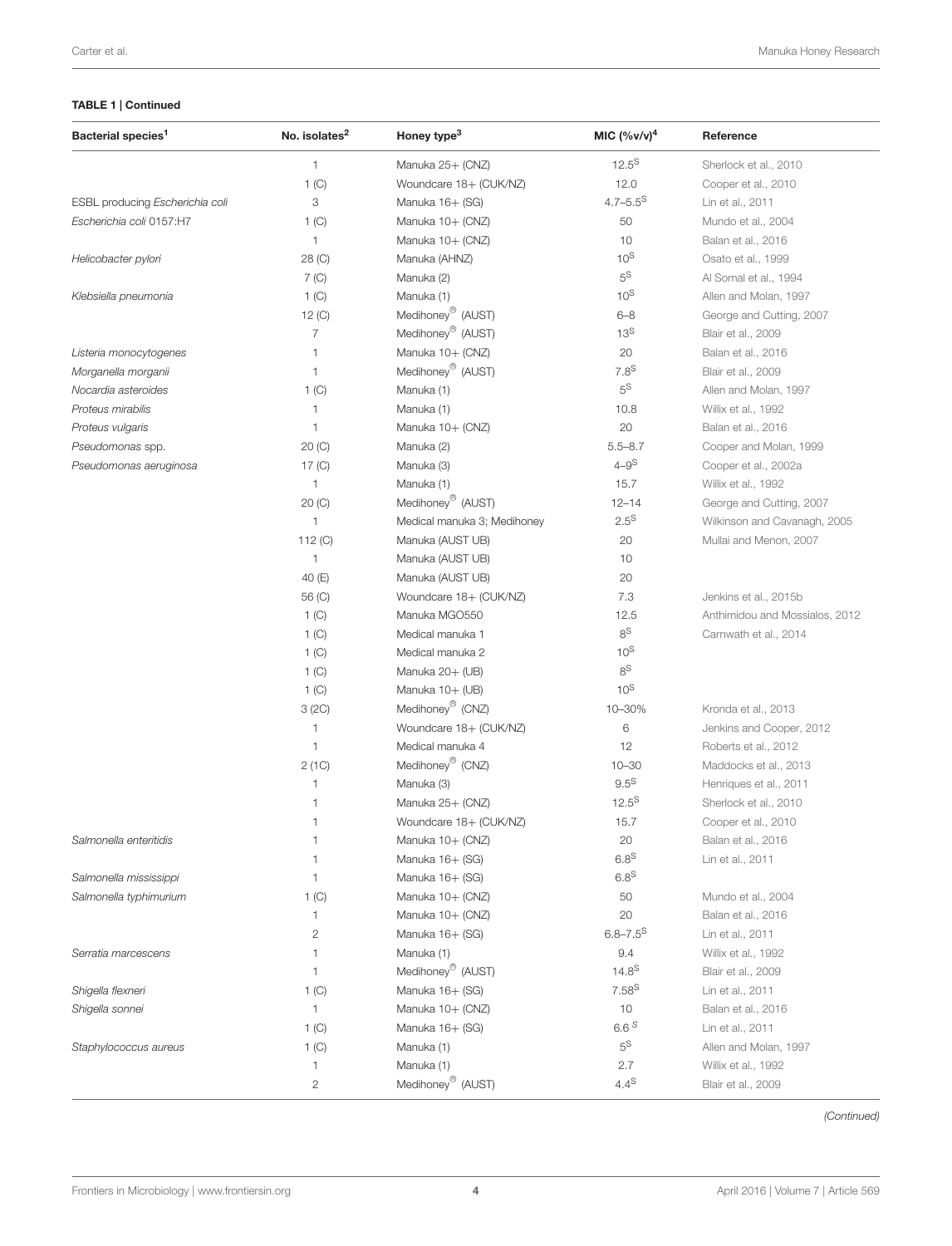### TABLE 1 | Continued

| $\mathbf{1}$<br>$12.5^{S}$<br>Manuka 25+ (CNZ)<br>Sherlock et al., 2010<br>12.0<br>1 (C)<br>Woundcare 18+ (CUK/NZ)<br>Cooper et al., 2010<br>$4.7 - 5.5^S$<br>3<br>ESBL producing Escherichia coli<br>Manuka 16+ (SG)<br>Lin et al., 2011<br>50<br>Escherichia coli 0157:H7<br>1 (C)<br>Manuka 10+ (CNZ)<br>Mundo et al., 2004<br>10<br>$\mathbf{1}$<br>Manuka 10+ (CNZ)<br>Balan et al., 2016<br>$10^{S}$<br>Helicobacter pylori<br>28 (C)<br>Manuka (AHNZ)<br>Osato et al., 1999<br>$5^{\text{S}}$<br>$7($ C $)$<br>Manuka (2)<br>Al Somal et al., 1994<br>$10^{S}$<br>1 <sup>(C)</sup><br>Manuka (1)<br>Allen and Molan, 1997<br>Klebsiella pneumonia<br>Medihoney <sup>®</sup> (AUST)<br>$6 - 8$<br>12 (C)<br>George and Cutting, 2007<br>Medihoney <sup>®</sup> (AUST)<br>13 <sup>S</sup><br>$\overline{7}$<br>Blair et al., 2009<br>Manuka 10+ (CNZ)<br>Listeria monocytogenes<br>$\mathbf{1}$<br>20<br>Balan et al., 2016<br>Medihoney <sup>®</sup> (AUST)<br>$7.8^{\text{S}}$<br>$\mathbf{1}$<br>Morganella morganii<br>Blair et al., 2009<br>$5^{\text{S}}$<br>Nocardia asteroides<br>1 (C)<br>Manuka (1)<br>Allen and Molan, 1997<br>Proteus mirabilis<br>1<br>Manuka (1)<br>10.8<br>Willix et al., 1992<br>20<br>Proteus vulgaris<br>$\overline{1}$<br>Manuka 10+ (CNZ)<br>Balan et al., 2016<br>$5.5 - 8.7$<br>Cooper and Molan, 1999<br>Pseudomonas spp.<br>20 (C)<br>Manuka (2)<br>$4 - 9^S$<br>Pseudomonas aeruginosa<br>$17($ C $)$<br>Manuka (3)<br>Cooper et al., 2002a<br>15.7<br>$\mathbf{1}$<br>Manuka (1)<br>Willix et al., 1992<br>Medihoney <sup>®</sup> (AUST)<br>20 (C)<br>$12 - 14$<br>George and Cutting, 2007<br>$2.5^{\text{S}}$<br>Wilkinson and Cavanagh, 2005<br>$\mathbf{1}$<br>Medical manuka 3; Medihoney<br>20<br>112 $(C)$<br>Manuka (AUST UB)<br>Mullai and Menon, 2007<br>10<br>$\mathbf{1}$<br>Manuka (AUST UB)<br>40 (E)<br>Manuka (AUST UB)<br>20<br>56 (C)<br>Woundcare 18+ (CUK/NZ)<br>7.3<br>Jenkins et al., 2015b<br>1 <sup>(C)</sup><br>Manuka MGO550<br>12.5<br>Anthimidou and Mossialos, 2012<br>$8^{\text{S}}$<br>1 (C)<br>Medical manuka 1<br>Carnwath et al., 2014<br>$10^{S}$<br>1 (C)<br>Medical manuka 2<br>8 <sup>S</sup><br>Manuka 20+ (UB)<br>1 (C)<br>10 <sup>S</sup><br>Manuka 10+ (UB)<br>1 <sup>(C)</sup><br>Medihoney <sup>®</sup> (CNZ)<br>3(2C)<br>10-30%<br>Kronda et al., 2013<br>Woundcare 18+ (CUK/NZ)<br>6<br>$\mathbf{1}$<br>Jenkins and Cooper, 2012<br>$\mathbf{1}$<br>Medical manuka 4<br>12<br>Roberts et al., 2012<br>Medihoney <sup>®</sup> (CNZ)<br>2(1C)<br>$10 - 30$<br>Maddocks et al., 2013<br>$9.5^{\text{S}}$<br>$\mathbf{1}$<br>Manuka (3)<br>Henriques et al., 2011<br>$12.5^{S}$<br>$\overline{1}$<br>Manuka 25+ (CNZ)<br>Sherlock et al., 2010<br>15.7<br>$\overline{1}$<br>Woundcare 18+ (CUK/NZ)<br>Cooper et al., 2010<br>20<br>Salmonella enteritidis<br>$\mathbf{1}$<br>Manuka 10+ (CNZ)<br>Balan et al., 2016<br>6.8 <sup>S</sup><br>$\overline{1}$<br>Manuka 16+ (SG)<br>Lin et al., 2011<br>$6.8^{\text{S}}$<br>Salmonella mississippi<br>$\mathbf{1}$<br>Manuka 16+ (SG)<br>Salmonella typhimurium<br>Manuka 10+ (CNZ)<br>50<br>Mundo et al., 2004<br>1 <sub>(C)</sub><br>Manuka 10+ (CNZ)<br>20<br>$\mathbf{1}$<br>Balan et al., 2016<br>$6.8 - 7.5$ <sup>S</sup><br>$\mathbf{2}$<br>Manuka 16+ (SG)<br>Lin et al., 2011<br>9.4<br>$\mathbf{1}$<br>Manuka (1)<br>Willix et al., 1992<br>Serratia marcescens<br>Medihoney <sup>®</sup> (AUST)<br>$14.8^{S}$<br>1<br>Blair et al., 2009<br>$7.58^{S}$<br>Shigella flexneri<br>1 (C)<br>Manuka 16+ (SG)<br>Lin et al., 2011<br>Shigella sonnei<br>$\mathbf{1}$<br>Manuka 10+ (CNZ)<br>10<br>Balan et al., 2016<br>6.6S<br>1 (C)<br>Manuka 16+ (SG)<br>Lin et al., 2011<br>$5^{\mathsf{S}}$<br>1 (C)<br>Staphylococcus aureus<br>Manuka (1)<br>Allen and Molan, 1997<br>2.7<br>Manuka (1)<br>Willix et al., 1992<br>$\mathbf{1}$<br>Medihoney <sup>®</sup> (AUST)<br>$4.4^{\mathbb{S}}$<br>$\mathbf{2}$<br>Blair et al., 2009 | Bacterial species <sup>1</sup> | No. isolates <sup>2</sup> | Honey type <sup>3</sup> | MIC $({\%v/v})^4$ | Reference |
|------------------------------------------------------------------------------------------------------------------------------------------------------------------------------------------------------------------------------------------------------------------------------------------------------------------------------------------------------------------------------------------------------------------------------------------------------------------------------------------------------------------------------------------------------------------------------------------------------------------------------------------------------------------------------------------------------------------------------------------------------------------------------------------------------------------------------------------------------------------------------------------------------------------------------------------------------------------------------------------------------------------------------------------------------------------------------------------------------------------------------------------------------------------------------------------------------------------------------------------------------------------------------------------------------------------------------------------------------------------------------------------------------------------------------------------------------------------------------------------------------------------------------------------------------------------------------------------------------------------------------------------------------------------------------------------------------------------------------------------------------------------------------------------------------------------------------------------------------------------------------------------------------------------------------------------------------------------------------------------------------------------------------------------------------------------------------------------------------------------------------------------------------------------------------------------------------------------------------------------------------------------------------------------------------------------------------------------------------------------------------------------------------------------------------------------------------------------------------------------------------------------------------------------------------------------------------------------------------------------------------------------------------------------------------------------------------------------------------------------------------------------------------------------------------------------------------------------------------------------------------------------------------------------------------------------------------------------------------------------------------------------------------------------------------------------------------------------------------------------------------------------------------------------------------------------------------------------------------------------------------------------------------------------------------------------------------------------------------------------------------------------------------------------------------------------------------------------------------------------------------------------------------------------------------------------------------------------------------------------------------------------------------------------------------------------------------------------------------------------------------------------------------------------------------------------------------------------------------------------------------------------------------------------------------------------------------------------------------|--------------------------------|---------------------------|-------------------------|-------------------|-----------|
|                                                                                                                                                                                                                                                                                                                                                                                                                                                                                                                                                                                                                                                                                                                                                                                                                                                                                                                                                                                                                                                                                                                                                                                                                                                                                                                                                                                                                                                                                                                                                                                                                                                                                                                                                                                                                                                                                                                                                                                                                                                                                                                                                                                                                                                                                                                                                                                                                                                                                                                                                                                                                                                                                                                                                                                                                                                                                                                                                                                                                                                                                                                                                                                                                                                                                                                                                                                                                                                                                                                                                                                                                                                                                                                                                                                                                                                                                                                                                                              |                                |                           |                         |                   |           |
|                                                                                                                                                                                                                                                                                                                                                                                                                                                                                                                                                                                                                                                                                                                                                                                                                                                                                                                                                                                                                                                                                                                                                                                                                                                                                                                                                                                                                                                                                                                                                                                                                                                                                                                                                                                                                                                                                                                                                                                                                                                                                                                                                                                                                                                                                                                                                                                                                                                                                                                                                                                                                                                                                                                                                                                                                                                                                                                                                                                                                                                                                                                                                                                                                                                                                                                                                                                                                                                                                                                                                                                                                                                                                                                                                                                                                                                                                                                                                                              |                                |                           |                         |                   |           |
|                                                                                                                                                                                                                                                                                                                                                                                                                                                                                                                                                                                                                                                                                                                                                                                                                                                                                                                                                                                                                                                                                                                                                                                                                                                                                                                                                                                                                                                                                                                                                                                                                                                                                                                                                                                                                                                                                                                                                                                                                                                                                                                                                                                                                                                                                                                                                                                                                                                                                                                                                                                                                                                                                                                                                                                                                                                                                                                                                                                                                                                                                                                                                                                                                                                                                                                                                                                                                                                                                                                                                                                                                                                                                                                                                                                                                                                                                                                                                                              |                                |                           |                         |                   |           |
|                                                                                                                                                                                                                                                                                                                                                                                                                                                                                                                                                                                                                                                                                                                                                                                                                                                                                                                                                                                                                                                                                                                                                                                                                                                                                                                                                                                                                                                                                                                                                                                                                                                                                                                                                                                                                                                                                                                                                                                                                                                                                                                                                                                                                                                                                                                                                                                                                                                                                                                                                                                                                                                                                                                                                                                                                                                                                                                                                                                                                                                                                                                                                                                                                                                                                                                                                                                                                                                                                                                                                                                                                                                                                                                                                                                                                                                                                                                                                                              |                                |                           |                         |                   |           |
|                                                                                                                                                                                                                                                                                                                                                                                                                                                                                                                                                                                                                                                                                                                                                                                                                                                                                                                                                                                                                                                                                                                                                                                                                                                                                                                                                                                                                                                                                                                                                                                                                                                                                                                                                                                                                                                                                                                                                                                                                                                                                                                                                                                                                                                                                                                                                                                                                                                                                                                                                                                                                                                                                                                                                                                                                                                                                                                                                                                                                                                                                                                                                                                                                                                                                                                                                                                                                                                                                                                                                                                                                                                                                                                                                                                                                                                                                                                                                                              |                                |                           |                         |                   |           |
|                                                                                                                                                                                                                                                                                                                                                                                                                                                                                                                                                                                                                                                                                                                                                                                                                                                                                                                                                                                                                                                                                                                                                                                                                                                                                                                                                                                                                                                                                                                                                                                                                                                                                                                                                                                                                                                                                                                                                                                                                                                                                                                                                                                                                                                                                                                                                                                                                                                                                                                                                                                                                                                                                                                                                                                                                                                                                                                                                                                                                                                                                                                                                                                                                                                                                                                                                                                                                                                                                                                                                                                                                                                                                                                                                                                                                                                                                                                                                                              |                                |                           |                         |                   |           |
|                                                                                                                                                                                                                                                                                                                                                                                                                                                                                                                                                                                                                                                                                                                                                                                                                                                                                                                                                                                                                                                                                                                                                                                                                                                                                                                                                                                                                                                                                                                                                                                                                                                                                                                                                                                                                                                                                                                                                                                                                                                                                                                                                                                                                                                                                                                                                                                                                                                                                                                                                                                                                                                                                                                                                                                                                                                                                                                                                                                                                                                                                                                                                                                                                                                                                                                                                                                                                                                                                                                                                                                                                                                                                                                                                                                                                                                                                                                                                                              |                                |                           |                         |                   |           |
|                                                                                                                                                                                                                                                                                                                                                                                                                                                                                                                                                                                                                                                                                                                                                                                                                                                                                                                                                                                                                                                                                                                                                                                                                                                                                                                                                                                                                                                                                                                                                                                                                                                                                                                                                                                                                                                                                                                                                                                                                                                                                                                                                                                                                                                                                                                                                                                                                                                                                                                                                                                                                                                                                                                                                                                                                                                                                                                                                                                                                                                                                                                                                                                                                                                                                                                                                                                                                                                                                                                                                                                                                                                                                                                                                                                                                                                                                                                                                                              |                                |                           |                         |                   |           |
|                                                                                                                                                                                                                                                                                                                                                                                                                                                                                                                                                                                                                                                                                                                                                                                                                                                                                                                                                                                                                                                                                                                                                                                                                                                                                                                                                                                                                                                                                                                                                                                                                                                                                                                                                                                                                                                                                                                                                                                                                                                                                                                                                                                                                                                                                                                                                                                                                                                                                                                                                                                                                                                                                                                                                                                                                                                                                                                                                                                                                                                                                                                                                                                                                                                                                                                                                                                                                                                                                                                                                                                                                                                                                                                                                                                                                                                                                                                                                                              |                                |                           |                         |                   |           |
|                                                                                                                                                                                                                                                                                                                                                                                                                                                                                                                                                                                                                                                                                                                                                                                                                                                                                                                                                                                                                                                                                                                                                                                                                                                                                                                                                                                                                                                                                                                                                                                                                                                                                                                                                                                                                                                                                                                                                                                                                                                                                                                                                                                                                                                                                                                                                                                                                                                                                                                                                                                                                                                                                                                                                                                                                                                                                                                                                                                                                                                                                                                                                                                                                                                                                                                                                                                                                                                                                                                                                                                                                                                                                                                                                                                                                                                                                                                                                                              |                                |                           |                         |                   |           |
|                                                                                                                                                                                                                                                                                                                                                                                                                                                                                                                                                                                                                                                                                                                                                                                                                                                                                                                                                                                                                                                                                                                                                                                                                                                                                                                                                                                                                                                                                                                                                                                                                                                                                                                                                                                                                                                                                                                                                                                                                                                                                                                                                                                                                                                                                                                                                                                                                                                                                                                                                                                                                                                                                                                                                                                                                                                                                                                                                                                                                                                                                                                                                                                                                                                                                                                                                                                                                                                                                                                                                                                                                                                                                                                                                                                                                                                                                                                                                                              |                                |                           |                         |                   |           |
|                                                                                                                                                                                                                                                                                                                                                                                                                                                                                                                                                                                                                                                                                                                                                                                                                                                                                                                                                                                                                                                                                                                                                                                                                                                                                                                                                                                                                                                                                                                                                                                                                                                                                                                                                                                                                                                                                                                                                                                                                                                                                                                                                                                                                                                                                                                                                                                                                                                                                                                                                                                                                                                                                                                                                                                                                                                                                                                                                                                                                                                                                                                                                                                                                                                                                                                                                                                                                                                                                                                                                                                                                                                                                                                                                                                                                                                                                                                                                                              |                                |                           |                         |                   |           |
|                                                                                                                                                                                                                                                                                                                                                                                                                                                                                                                                                                                                                                                                                                                                                                                                                                                                                                                                                                                                                                                                                                                                                                                                                                                                                                                                                                                                                                                                                                                                                                                                                                                                                                                                                                                                                                                                                                                                                                                                                                                                                                                                                                                                                                                                                                                                                                                                                                                                                                                                                                                                                                                                                                                                                                                                                                                                                                                                                                                                                                                                                                                                                                                                                                                                                                                                                                                                                                                                                                                                                                                                                                                                                                                                                                                                                                                                                                                                                                              |                                |                           |                         |                   |           |
|                                                                                                                                                                                                                                                                                                                                                                                                                                                                                                                                                                                                                                                                                                                                                                                                                                                                                                                                                                                                                                                                                                                                                                                                                                                                                                                                                                                                                                                                                                                                                                                                                                                                                                                                                                                                                                                                                                                                                                                                                                                                                                                                                                                                                                                                                                                                                                                                                                                                                                                                                                                                                                                                                                                                                                                                                                                                                                                                                                                                                                                                                                                                                                                                                                                                                                                                                                                                                                                                                                                                                                                                                                                                                                                                                                                                                                                                                                                                                                              |                                |                           |                         |                   |           |
|                                                                                                                                                                                                                                                                                                                                                                                                                                                                                                                                                                                                                                                                                                                                                                                                                                                                                                                                                                                                                                                                                                                                                                                                                                                                                                                                                                                                                                                                                                                                                                                                                                                                                                                                                                                                                                                                                                                                                                                                                                                                                                                                                                                                                                                                                                                                                                                                                                                                                                                                                                                                                                                                                                                                                                                                                                                                                                                                                                                                                                                                                                                                                                                                                                                                                                                                                                                                                                                                                                                                                                                                                                                                                                                                                                                                                                                                                                                                                                              |                                |                           |                         |                   |           |
|                                                                                                                                                                                                                                                                                                                                                                                                                                                                                                                                                                                                                                                                                                                                                                                                                                                                                                                                                                                                                                                                                                                                                                                                                                                                                                                                                                                                                                                                                                                                                                                                                                                                                                                                                                                                                                                                                                                                                                                                                                                                                                                                                                                                                                                                                                                                                                                                                                                                                                                                                                                                                                                                                                                                                                                                                                                                                                                                                                                                                                                                                                                                                                                                                                                                                                                                                                                                                                                                                                                                                                                                                                                                                                                                                                                                                                                                                                                                                                              |                                |                           |                         |                   |           |
|                                                                                                                                                                                                                                                                                                                                                                                                                                                                                                                                                                                                                                                                                                                                                                                                                                                                                                                                                                                                                                                                                                                                                                                                                                                                                                                                                                                                                                                                                                                                                                                                                                                                                                                                                                                                                                                                                                                                                                                                                                                                                                                                                                                                                                                                                                                                                                                                                                                                                                                                                                                                                                                                                                                                                                                                                                                                                                                                                                                                                                                                                                                                                                                                                                                                                                                                                                                                                                                                                                                                                                                                                                                                                                                                                                                                                                                                                                                                                                              |                                |                           |                         |                   |           |
|                                                                                                                                                                                                                                                                                                                                                                                                                                                                                                                                                                                                                                                                                                                                                                                                                                                                                                                                                                                                                                                                                                                                                                                                                                                                                                                                                                                                                                                                                                                                                                                                                                                                                                                                                                                                                                                                                                                                                                                                                                                                                                                                                                                                                                                                                                                                                                                                                                                                                                                                                                                                                                                                                                                                                                                                                                                                                                                                                                                                                                                                                                                                                                                                                                                                                                                                                                                                                                                                                                                                                                                                                                                                                                                                                                                                                                                                                                                                                                              |                                |                           |                         |                   |           |
|                                                                                                                                                                                                                                                                                                                                                                                                                                                                                                                                                                                                                                                                                                                                                                                                                                                                                                                                                                                                                                                                                                                                                                                                                                                                                                                                                                                                                                                                                                                                                                                                                                                                                                                                                                                                                                                                                                                                                                                                                                                                                                                                                                                                                                                                                                                                                                                                                                                                                                                                                                                                                                                                                                                                                                                                                                                                                                                                                                                                                                                                                                                                                                                                                                                                                                                                                                                                                                                                                                                                                                                                                                                                                                                                                                                                                                                                                                                                                                              |                                |                           |                         |                   |           |
|                                                                                                                                                                                                                                                                                                                                                                                                                                                                                                                                                                                                                                                                                                                                                                                                                                                                                                                                                                                                                                                                                                                                                                                                                                                                                                                                                                                                                                                                                                                                                                                                                                                                                                                                                                                                                                                                                                                                                                                                                                                                                                                                                                                                                                                                                                                                                                                                                                                                                                                                                                                                                                                                                                                                                                                                                                                                                                                                                                                                                                                                                                                                                                                                                                                                                                                                                                                                                                                                                                                                                                                                                                                                                                                                                                                                                                                                                                                                                                              |                                |                           |                         |                   |           |
|                                                                                                                                                                                                                                                                                                                                                                                                                                                                                                                                                                                                                                                                                                                                                                                                                                                                                                                                                                                                                                                                                                                                                                                                                                                                                                                                                                                                                                                                                                                                                                                                                                                                                                                                                                                                                                                                                                                                                                                                                                                                                                                                                                                                                                                                                                                                                                                                                                                                                                                                                                                                                                                                                                                                                                                                                                                                                                                                                                                                                                                                                                                                                                                                                                                                                                                                                                                                                                                                                                                                                                                                                                                                                                                                                                                                                                                                                                                                                                              |                                |                           |                         |                   |           |
|                                                                                                                                                                                                                                                                                                                                                                                                                                                                                                                                                                                                                                                                                                                                                                                                                                                                                                                                                                                                                                                                                                                                                                                                                                                                                                                                                                                                                                                                                                                                                                                                                                                                                                                                                                                                                                                                                                                                                                                                                                                                                                                                                                                                                                                                                                                                                                                                                                                                                                                                                                                                                                                                                                                                                                                                                                                                                                                                                                                                                                                                                                                                                                                                                                                                                                                                                                                                                                                                                                                                                                                                                                                                                                                                                                                                                                                                                                                                                                              |                                |                           |                         |                   |           |
|                                                                                                                                                                                                                                                                                                                                                                                                                                                                                                                                                                                                                                                                                                                                                                                                                                                                                                                                                                                                                                                                                                                                                                                                                                                                                                                                                                                                                                                                                                                                                                                                                                                                                                                                                                                                                                                                                                                                                                                                                                                                                                                                                                                                                                                                                                                                                                                                                                                                                                                                                                                                                                                                                                                                                                                                                                                                                                                                                                                                                                                                                                                                                                                                                                                                                                                                                                                                                                                                                                                                                                                                                                                                                                                                                                                                                                                                                                                                                                              |                                |                           |                         |                   |           |
|                                                                                                                                                                                                                                                                                                                                                                                                                                                                                                                                                                                                                                                                                                                                                                                                                                                                                                                                                                                                                                                                                                                                                                                                                                                                                                                                                                                                                                                                                                                                                                                                                                                                                                                                                                                                                                                                                                                                                                                                                                                                                                                                                                                                                                                                                                                                                                                                                                                                                                                                                                                                                                                                                                                                                                                                                                                                                                                                                                                                                                                                                                                                                                                                                                                                                                                                                                                                                                                                                                                                                                                                                                                                                                                                                                                                                                                                                                                                                                              |                                |                           |                         |                   |           |
|                                                                                                                                                                                                                                                                                                                                                                                                                                                                                                                                                                                                                                                                                                                                                                                                                                                                                                                                                                                                                                                                                                                                                                                                                                                                                                                                                                                                                                                                                                                                                                                                                                                                                                                                                                                                                                                                                                                                                                                                                                                                                                                                                                                                                                                                                                                                                                                                                                                                                                                                                                                                                                                                                                                                                                                                                                                                                                                                                                                                                                                                                                                                                                                                                                                                                                                                                                                                                                                                                                                                                                                                                                                                                                                                                                                                                                                                                                                                                                              |                                |                           |                         |                   |           |
|                                                                                                                                                                                                                                                                                                                                                                                                                                                                                                                                                                                                                                                                                                                                                                                                                                                                                                                                                                                                                                                                                                                                                                                                                                                                                                                                                                                                                                                                                                                                                                                                                                                                                                                                                                                                                                                                                                                                                                                                                                                                                                                                                                                                                                                                                                                                                                                                                                                                                                                                                                                                                                                                                                                                                                                                                                                                                                                                                                                                                                                                                                                                                                                                                                                                                                                                                                                                                                                                                                                                                                                                                                                                                                                                                                                                                                                                                                                                                                              |                                |                           |                         |                   |           |
|                                                                                                                                                                                                                                                                                                                                                                                                                                                                                                                                                                                                                                                                                                                                                                                                                                                                                                                                                                                                                                                                                                                                                                                                                                                                                                                                                                                                                                                                                                                                                                                                                                                                                                                                                                                                                                                                                                                                                                                                                                                                                                                                                                                                                                                                                                                                                                                                                                                                                                                                                                                                                                                                                                                                                                                                                                                                                                                                                                                                                                                                                                                                                                                                                                                                                                                                                                                                                                                                                                                                                                                                                                                                                                                                                                                                                                                                                                                                                                              |                                |                           |                         |                   |           |
|                                                                                                                                                                                                                                                                                                                                                                                                                                                                                                                                                                                                                                                                                                                                                                                                                                                                                                                                                                                                                                                                                                                                                                                                                                                                                                                                                                                                                                                                                                                                                                                                                                                                                                                                                                                                                                                                                                                                                                                                                                                                                                                                                                                                                                                                                                                                                                                                                                                                                                                                                                                                                                                                                                                                                                                                                                                                                                                                                                                                                                                                                                                                                                                                                                                                                                                                                                                                                                                                                                                                                                                                                                                                                                                                                                                                                                                                                                                                                                              |                                |                           |                         |                   |           |
|                                                                                                                                                                                                                                                                                                                                                                                                                                                                                                                                                                                                                                                                                                                                                                                                                                                                                                                                                                                                                                                                                                                                                                                                                                                                                                                                                                                                                                                                                                                                                                                                                                                                                                                                                                                                                                                                                                                                                                                                                                                                                                                                                                                                                                                                                                                                                                                                                                                                                                                                                                                                                                                                                                                                                                                                                                                                                                                                                                                                                                                                                                                                                                                                                                                                                                                                                                                                                                                                                                                                                                                                                                                                                                                                                                                                                                                                                                                                                                              |                                |                           |                         |                   |           |
|                                                                                                                                                                                                                                                                                                                                                                                                                                                                                                                                                                                                                                                                                                                                                                                                                                                                                                                                                                                                                                                                                                                                                                                                                                                                                                                                                                                                                                                                                                                                                                                                                                                                                                                                                                                                                                                                                                                                                                                                                                                                                                                                                                                                                                                                                                                                                                                                                                                                                                                                                                                                                                                                                                                                                                                                                                                                                                                                                                                                                                                                                                                                                                                                                                                                                                                                                                                                                                                                                                                                                                                                                                                                                                                                                                                                                                                                                                                                                                              |                                |                           |                         |                   |           |
|                                                                                                                                                                                                                                                                                                                                                                                                                                                                                                                                                                                                                                                                                                                                                                                                                                                                                                                                                                                                                                                                                                                                                                                                                                                                                                                                                                                                                                                                                                                                                                                                                                                                                                                                                                                                                                                                                                                                                                                                                                                                                                                                                                                                                                                                                                                                                                                                                                                                                                                                                                                                                                                                                                                                                                                                                                                                                                                                                                                                                                                                                                                                                                                                                                                                                                                                                                                                                                                                                                                                                                                                                                                                                                                                                                                                                                                                                                                                                                              |                                |                           |                         |                   |           |
|                                                                                                                                                                                                                                                                                                                                                                                                                                                                                                                                                                                                                                                                                                                                                                                                                                                                                                                                                                                                                                                                                                                                                                                                                                                                                                                                                                                                                                                                                                                                                                                                                                                                                                                                                                                                                                                                                                                                                                                                                                                                                                                                                                                                                                                                                                                                                                                                                                                                                                                                                                                                                                                                                                                                                                                                                                                                                                                                                                                                                                                                                                                                                                                                                                                                                                                                                                                                                                                                                                                                                                                                                                                                                                                                                                                                                                                                                                                                                                              |                                |                           |                         |                   |           |
|                                                                                                                                                                                                                                                                                                                                                                                                                                                                                                                                                                                                                                                                                                                                                                                                                                                                                                                                                                                                                                                                                                                                                                                                                                                                                                                                                                                                                                                                                                                                                                                                                                                                                                                                                                                                                                                                                                                                                                                                                                                                                                                                                                                                                                                                                                                                                                                                                                                                                                                                                                                                                                                                                                                                                                                                                                                                                                                                                                                                                                                                                                                                                                                                                                                                                                                                                                                                                                                                                                                                                                                                                                                                                                                                                                                                                                                                                                                                                                              |                                |                           |                         |                   |           |
|                                                                                                                                                                                                                                                                                                                                                                                                                                                                                                                                                                                                                                                                                                                                                                                                                                                                                                                                                                                                                                                                                                                                                                                                                                                                                                                                                                                                                                                                                                                                                                                                                                                                                                                                                                                                                                                                                                                                                                                                                                                                                                                                                                                                                                                                                                                                                                                                                                                                                                                                                                                                                                                                                                                                                                                                                                                                                                                                                                                                                                                                                                                                                                                                                                                                                                                                                                                                                                                                                                                                                                                                                                                                                                                                                                                                                                                                                                                                                                              |                                |                           |                         |                   |           |
|                                                                                                                                                                                                                                                                                                                                                                                                                                                                                                                                                                                                                                                                                                                                                                                                                                                                                                                                                                                                                                                                                                                                                                                                                                                                                                                                                                                                                                                                                                                                                                                                                                                                                                                                                                                                                                                                                                                                                                                                                                                                                                                                                                                                                                                                                                                                                                                                                                                                                                                                                                                                                                                                                                                                                                                                                                                                                                                                                                                                                                                                                                                                                                                                                                                                                                                                                                                                                                                                                                                                                                                                                                                                                                                                                                                                                                                                                                                                                                              |                                |                           |                         |                   |           |
|                                                                                                                                                                                                                                                                                                                                                                                                                                                                                                                                                                                                                                                                                                                                                                                                                                                                                                                                                                                                                                                                                                                                                                                                                                                                                                                                                                                                                                                                                                                                                                                                                                                                                                                                                                                                                                                                                                                                                                                                                                                                                                                                                                                                                                                                                                                                                                                                                                                                                                                                                                                                                                                                                                                                                                                                                                                                                                                                                                                                                                                                                                                                                                                                                                                                                                                                                                                                                                                                                                                                                                                                                                                                                                                                                                                                                                                                                                                                                                              |                                |                           |                         |                   |           |
|                                                                                                                                                                                                                                                                                                                                                                                                                                                                                                                                                                                                                                                                                                                                                                                                                                                                                                                                                                                                                                                                                                                                                                                                                                                                                                                                                                                                                                                                                                                                                                                                                                                                                                                                                                                                                                                                                                                                                                                                                                                                                                                                                                                                                                                                                                                                                                                                                                                                                                                                                                                                                                                                                                                                                                                                                                                                                                                                                                                                                                                                                                                                                                                                                                                                                                                                                                                                                                                                                                                                                                                                                                                                                                                                                                                                                                                                                                                                                                              |                                |                           |                         |                   |           |
|                                                                                                                                                                                                                                                                                                                                                                                                                                                                                                                                                                                                                                                                                                                                                                                                                                                                                                                                                                                                                                                                                                                                                                                                                                                                                                                                                                                                                                                                                                                                                                                                                                                                                                                                                                                                                                                                                                                                                                                                                                                                                                                                                                                                                                                                                                                                                                                                                                                                                                                                                                                                                                                                                                                                                                                                                                                                                                                                                                                                                                                                                                                                                                                                                                                                                                                                                                                                                                                                                                                                                                                                                                                                                                                                                                                                                                                                                                                                                                              |                                |                           |                         |                   |           |
|                                                                                                                                                                                                                                                                                                                                                                                                                                                                                                                                                                                                                                                                                                                                                                                                                                                                                                                                                                                                                                                                                                                                                                                                                                                                                                                                                                                                                                                                                                                                                                                                                                                                                                                                                                                                                                                                                                                                                                                                                                                                                                                                                                                                                                                                                                                                                                                                                                                                                                                                                                                                                                                                                                                                                                                                                                                                                                                                                                                                                                                                                                                                                                                                                                                                                                                                                                                                                                                                                                                                                                                                                                                                                                                                                                                                                                                                                                                                                                              |                                |                           |                         |                   |           |
|                                                                                                                                                                                                                                                                                                                                                                                                                                                                                                                                                                                                                                                                                                                                                                                                                                                                                                                                                                                                                                                                                                                                                                                                                                                                                                                                                                                                                                                                                                                                                                                                                                                                                                                                                                                                                                                                                                                                                                                                                                                                                                                                                                                                                                                                                                                                                                                                                                                                                                                                                                                                                                                                                                                                                                                                                                                                                                                                                                                                                                                                                                                                                                                                                                                                                                                                                                                                                                                                                                                                                                                                                                                                                                                                                                                                                                                                                                                                                                              |                                |                           |                         |                   |           |
|                                                                                                                                                                                                                                                                                                                                                                                                                                                                                                                                                                                                                                                                                                                                                                                                                                                                                                                                                                                                                                                                                                                                                                                                                                                                                                                                                                                                                                                                                                                                                                                                                                                                                                                                                                                                                                                                                                                                                                                                                                                                                                                                                                                                                                                                                                                                                                                                                                                                                                                                                                                                                                                                                                                                                                                                                                                                                                                                                                                                                                                                                                                                                                                                                                                                                                                                                                                                                                                                                                                                                                                                                                                                                                                                                                                                                                                                                                                                                                              |                                |                           |                         |                   |           |
|                                                                                                                                                                                                                                                                                                                                                                                                                                                                                                                                                                                                                                                                                                                                                                                                                                                                                                                                                                                                                                                                                                                                                                                                                                                                                                                                                                                                                                                                                                                                                                                                                                                                                                                                                                                                                                                                                                                                                                                                                                                                                                                                                                                                                                                                                                                                                                                                                                                                                                                                                                                                                                                                                                                                                                                                                                                                                                                                                                                                                                                                                                                                                                                                                                                                                                                                                                                                                                                                                                                                                                                                                                                                                                                                                                                                                                                                                                                                                                              |                                |                           |                         |                   |           |
|                                                                                                                                                                                                                                                                                                                                                                                                                                                                                                                                                                                                                                                                                                                                                                                                                                                                                                                                                                                                                                                                                                                                                                                                                                                                                                                                                                                                                                                                                                                                                                                                                                                                                                                                                                                                                                                                                                                                                                                                                                                                                                                                                                                                                                                                                                                                                                                                                                                                                                                                                                                                                                                                                                                                                                                                                                                                                                                                                                                                                                                                                                                                                                                                                                                                                                                                                                                                                                                                                                                                                                                                                                                                                                                                                                                                                                                                                                                                                                              |                                |                           |                         |                   |           |
|                                                                                                                                                                                                                                                                                                                                                                                                                                                                                                                                                                                                                                                                                                                                                                                                                                                                                                                                                                                                                                                                                                                                                                                                                                                                                                                                                                                                                                                                                                                                                                                                                                                                                                                                                                                                                                                                                                                                                                                                                                                                                                                                                                                                                                                                                                                                                                                                                                                                                                                                                                                                                                                                                                                                                                                                                                                                                                                                                                                                                                                                                                                                                                                                                                                                                                                                                                                                                                                                                                                                                                                                                                                                                                                                                                                                                                                                                                                                                                              |                                |                           |                         |                   |           |
|                                                                                                                                                                                                                                                                                                                                                                                                                                                                                                                                                                                                                                                                                                                                                                                                                                                                                                                                                                                                                                                                                                                                                                                                                                                                                                                                                                                                                                                                                                                                                                                                                                                                                                                                                                                                                                                                                                                                                                                                                                                                                                                                                                                                                                                                                                                                                                                                                                                                                                                                                                                                                                                                                                                                                                                                                                                                                                                                                                                                                                                                                                                                                                                                                                                                                                                                                                                                                                                                                                                                                                                                                                                                                                                                                                                                                                                                                                                                                                              |                                |                           |                         |                   |           |
|                                                                                                                                                                                                                                                                                                                                                                                                                                                                                                                                                                                                                                                                                                                                                                                                                                                                                                                                                                                                                                                                                                                                                                                                                                                                                                                                                                                                                                                                                                                                                                                                                                                                                                                                                                                                                                                                                                                                                                                                                                                                                                                                                                                                                                                                                                                                                                                                                                                                                                                                                                                                                                                                                                                                                                                                                                                                                                                                                                                                                                                                                                                                                                                                                                                                                                                                                                                                                                                                                                                                                                                                                                                                                                                                                                                                                                                                                                                                                                              |                                |                           |                         |                   |           |
|                                                                                                                                                                                                                                                                                                                                                                                                                                                                                                                                                                                                                                                                                                                                                                                                                                                                                                                                                                                                                                                                                                                                                                                                                                                                                                                                                                                                                                                                                                                                                                                                                                                                                                                                                                                                                                                                                                                                                                                                                                                                                                                                                                                                                                                                                                                                                                                                                                                                                                                                                                                                                                                                                                                                                                                                                                                                                                                                                                                                                                                                                                                                                                                                                                                                                                                                                                                                                                                                                                                                                                                                                                                                                                                                                                                                                                                                                                                                                                              |                                |                           |                         |                   |           |
|                                                                                                                                                                                                                                                                                                                                                                                                                                                                                                                                                                                                                                                                                                                                                                                                                                                                                                                                                                                                                                                                                                                                                                                                                                                                                                                                                                                                                                                                                                                                                                                                                                                                                                                                                                                                                                                                                                                                                                                                                                                                                                                                                                                                                                                                                                                                                                                                                                                                                                                                                                                                                                                                                                                                                                                                                                                                                                                                                                                                                                                                                                                                                                                                                                                                                                                                                                                                                                                                                                                                                                                                                                                                                                                                                                                                                                                                                                                                                                              |                                |                           |                         |                   |           |
|                                                                                                                                                                                                                                                                                                                                                                                                                                                                                                                                                                                                                                                                                                                                                                                                                                                                                                                                                                                                                                                                                                                                                                                                                                                                                                                                                                                                                                                                                                                                                                                                                                                                                                                                                                                                                                                                                                                                                                                                                                                                                                                                                                                                                                                                                                                                                                                                                                                                                                                                                                                                                                                                                                                                                                                                                                                                                                                                                                                                                                                                                                                                                                                                                                                                                                                                                                                                                                                                                                                                                                                                                                                                                                                                                                                                                                                                                                                                                                              |                                |                           |                         |                   |           |
|                                                                                                                                                                                                                                                                                                                                                                                                                                                                                                                                                                                                                                                                                                                                                                                                                                                                                                                                                                                                                                                                                                                                                                                                                                                                                                                                                                                                                                                                                                                                                                                                                                                                                                                                                                                                                                                                                                                                                                                                                                                                                                                                                                                                                                                                                                                                                                                                                                                                                                                                                                                                                                                                                                                                                                                                                                                                                                                                                                                                                                                                                                                                                                                                                                                                                                                                                                                                                                                                                                                                                                                                                                                                                                                                                                                                                                                                                                                                                                              |                                |                           |                         |                   |           |

(Continued)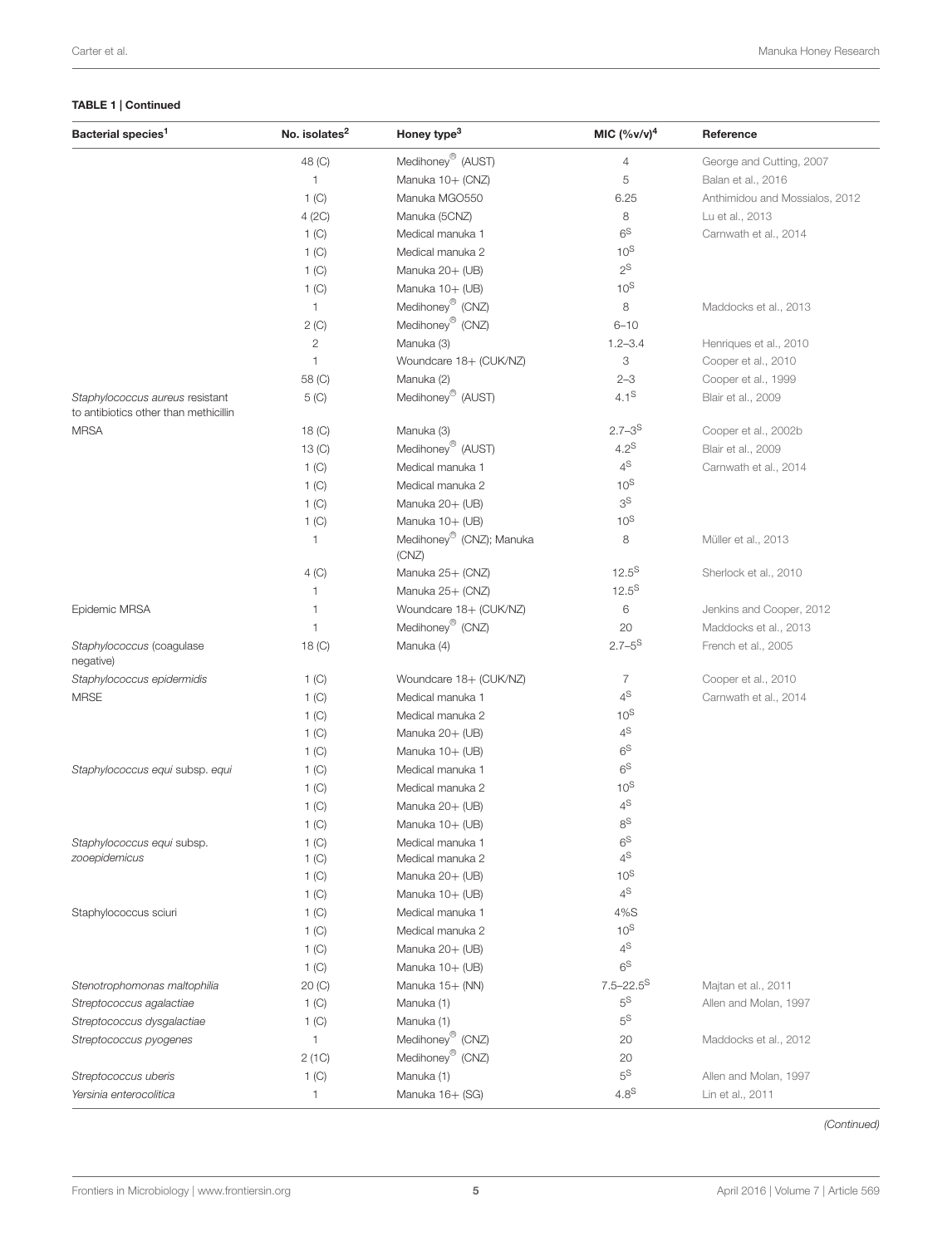### TABLE 1 | Continued

| Bacterial species <sup>1</sup>                                           | No. isolates <sup>2</sup> | Honey type <sup>3</sup>                                 | MIC $(%v/v)^4$            | Reference                      |
|--------------------------------------------------------------------------|---------------------------|---------------------------------------------------------|---------------------------|--------------------------------|
|                                                                          | 48 (C)                    | Medihoney <sup>®</sup> (AUST)                           | $\overline{4}$            | George and Cutting, 2007       |
|                                                                          | 1                         | Manuka 10+ (CNZ)                                        | 5                         | Balan et al., 2016             |
|                                                                          | 1 (C)                     | Manuka MGO550                                           | 6.25                      | Anthimidou and Mossialos, 2012 |
|                                                                          | 4 (2C)                    | Manuka (5CNZ)                                           | 8                         | Lu et al., 2013                |
|                                                                          | 1 <sub>(C)</sub>          | Medical manuka 1                                        | 6 <sup>S</sup>            | Carnwath et al., 2014          |
|                                                                          | 1 <sub>(C)</sub>          | Medical manuka 2                                        | $10^{\text{S}}$           |                                |
|                                                                          | 1 (C)                     | Manuka 20+ (UB)                                         | $2^{\text{S}}$            |                                |
|                                                                          | 1 (C)                     | Manuka 10+ (UB)                                         | $10^{S}$                  |                                |
|                                                                          | $\mathbf{1}$              | Medihoney <sup>®</sup> (CNZ)                            | 8                         | Maddocks et al., 2013          |
|                                                                          | 2(C)                      | Medihoney <sup>®</sup> (CNZ)                            | $6 - 10$                  |                                |
|                                                                          | 2                         | Manuka (3)                                              | $1.2 - 3.4$               | Henriques et al., 2010         |
|                                                                          | 1                         | Woundcare 18+ (CUK/NZ)                                  | 3                         | Cooper et al., 2010            |
|                                                                          | 58 (C)                    | Manuka (2)                                              | $2 - 3$                   | Cooper et al., 1999            |
| Staphylococcus aureus resistant<br>to antibiotics other than methicillin | $5($ C $)$                | Medihoney <sup>®</sup> (AUST)                           | $4.1^{\text{S}}$          | Blair et al., 2009             |
| <b>MRSA</b>                                                              | $18($ C $)$               | Manuka (3)                                              | $2.7 - 3^S$               | Cooper et al., 2002b           |
|                                                                          | 13 <sub>(C)</sub>         | Medihoney <sup>®</sup> (AUST)                           | $4.2^{\text{S}}$          | Blair et al., 2009             |
|                                                                          |                           | Medical manuka 1                                        | $4^{\text{S}}$            | Carnwath et al., 2014          |
|                                                                          | 1 <sub>(C)</sub>          |                                                         | $10^{\text{S}}$           |                                |
|                                                                          | 1 <sub>(C)</sub>          | Medical manuka 2                                        | $3^{\text{S}}$            |                                |
|                                                                          | 1 <sub>(C)</sub>          | Manuka 20+ (UB)                                         | 10 <sup>S</sup>           |                                |
|                                                                          | 1 (C)<br>1                | Manuka 10+ (UB)<br>Medihoney <sup>®</sup> (CNZ); Manuka | 8                         | Müller et al., 2013            |
|                                                                          |                           | (CNZ)                                                   |                           |                                |
|                                                                          | 4 (C)                     | Manuka 25+ (CNZ)                                        | $12.5^{S}$                | Sherlock et al., 2010          |
|                                                                          | 1                         | Manuka 25+ (CNZ)                                        | $12.5^{S}$                |                                |
| Epidemic MRSA                                                            | 1                         | Woundcare 18+ (CUK/NZ)                                  | $\,6$                     | Jenkins and Cooper, 2012       |
|                                                                          | 1                         | Medihoney <sup>®</sup> (CNZ)                            | 20                        | Maddocks et al., 2013          |
| Staphylococcus (coagulase<br>negative)                                   | 18 (C)                    | Manuka (4)                                              | $2.7 - 5^{\text{S}}$      | French et al., 2005            |
| Staphylococcus epidermidis                                               | 1 <sub>(C)</sub>          | Woundcare 18+ (CUK/NZ)                                  | $\overline{7}$            | Cooper et al., 2010            |
| <b>MRSE</b>                                                              | 1 (C)                     | Medical manuka 1                                        | $4^{\text{S}}$            | Carnwath et al., 2014          |
|                                                                          | 1 <sup>(C)</sup>          | Medical manuka 2                                        | 10 <sup>S</sup>           |                                |
|                                                                          | 1 <sup>(C)</sup>          | Manuka 20+ (UB)                                         | $4^{\text{S}}$            |                                |
|                                                                          | 1 <sup>(C)</sup>          | Manuka 10+ (UB)                                         | $6^{\rm S}$               |                                |
| Staphylococcus equi subsp. equi                                          | 1 <sup>(C)</sup>          | Medical manuka 1                                        | 6 <sup>S</sup>            |                                |
|                                                                          | 1 (C)                     | Medical manuka 2                                        | $10^{S}$                  |                                |
|                                                                          | 1 (C)                     | Manuka 20+ (UB)                                         | $4^{\text{S}}$            |                                |
|                                                                          | 1 <sup>(C)</sup>          | Manuka 10+ (UB)                                         | $8^{\text{S}}$            |                                |
| Staphylococcus equi subsp.                                               | 1 (C)                     | Medical manuka 1                                        | $6^{\rm S}$               |                                |
| zooepidemicus                                                            | 1 <sub>(C)</sub>          | Medical manuka 2                                        | $4^{\mathbb{S}}$          |                                |
|                                                                          | 1 (C)                     | Manuka 20+ (UB)                                         | $10^{\text{S}}$           |                                |
|                                                                          | 1 (C)                     | Manuka 10+ (UB)                                         | 4 <sup>S</sup>            |                                |
| Staphylococcus sciuri                                                    | 1 (C)                     | Medical manuka 1                                        | 4%S                       |                                |
|                                                                          | 1 <sup>(C)</sup>          | Medical manuka 2                                        | $10^{\text{S}}$           |                                |
|                                                                          | 1 <sub>(C)</sub>          | Manuka 20+ (UB)                                         | $4^{\text{S}}$            |                                |
|                                                                          | 1 <sub>(C)</sub>          | Manuka 10+ (UB)                                         | 6 <sup>S</sup>            |                                |
| Stenotrophomonas maltophilia                                             | 20 (C)                    | Manuka 15+ (NN)                                         | $7.5 - 22.5$ <sup>S</sup> | Majtan et al., 2011            |
| Streptococcus agalactiae                                                 | 1 <sup>(C)</sup>          | Manuka (1)                                              | $5^{\text{S}}$            | Allen and Molan, 1997          |
| Streptococcus dysgalactiae                                               | 1 <sup>(C)</sup>          | Manuka (1)                                              | $5^{\text{S}}$            |                                |
| Streptococcus pyogenes                                                   | 1                         | Medihoney <sup>®</sup> (CNZ)                            | 20                        | Maddocks et al., 2012          |
|                                                                          | 2 (1C)                    | Medihoney <sup>®</sup> (CNZ)                            | 20                        |                                |
| Streptococcus uberis                                                     | 1 (C)                     | Manuka (1)                                              | $5^{\text{S}}$            | Allen and Molan, 1997          |
| Yersinia enterocolitica                                                  | 1                         | Manuka 16+ (SG)                                         | 4.8 <sup>S</sup>          | Lin et al., 2011               |

(Continued)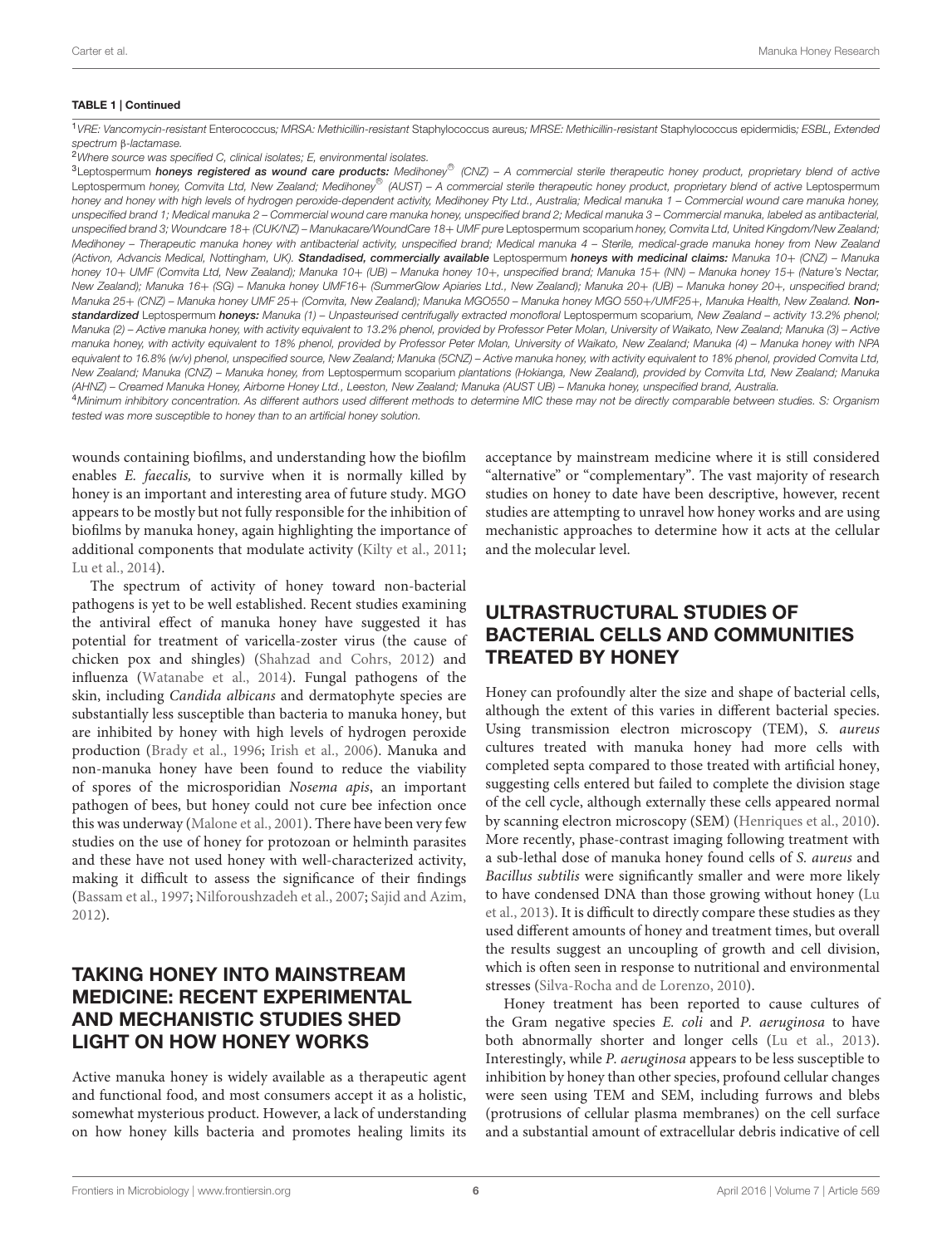#### TABLE 1 | Continued

<sup>1</sup>VRE: Vancomycin-resistant Enterococcus; MRSA: Methicillin-resistant Staphylococcus aureus; MRSE: Methicillin-resistant Staphylococcus epidermidis; ESBL, Extended spectrum β-lactamase.

<sup>2</sup>Where source was specified C, clinical isolates; E, environmental isolates.

<sup>3</sup>Leptospermum honeys registered as wound care products: Medihoney<sup>®</sup> (CNZ) - A commercial sterile therapeutic honey product, proprietary blend of active Leptospermum honey, Comvita Ltd, New Zealand; Medihoney® (AUST) – A commercial sterile therapeutic honey product, proprietary blend of active Leptospermum honey and honey with high levels of hydrogen peroxide-dependent activity, Medihoney Pty Ltd., Australia; Medical manuka 1 - Commercial wound care manuka honey, unspecified brand 1; Medical manuka 2 – Commercial wound care manuka honey, unspecified brand 2; Medical manuka 3 – Commercial manuka, labeled as antibacterial, unspecified brand 3; Woundcare 18+ (CUK/NZ) – Manukacare/WoundCare 18+ UMF pure Leptospermum scoparium honey, Comvita Ltd, United Kingdom/New Zealand; Medihoney - Therapeutic manuka honey with antibacterial activity, unspecified brand; Medical manuka 4 - Sterile, medical-grade manuka honey from New Zealand (Activon, Advancis Medical, Nottingham, UK). Standadised, commercially available Leptospermum honeys with medicinal claims: Manuka 10+ (CNZ) - Manuka honey 10+ UMF (Comvita Ltd, New Zealand); Manuka 10+ (UB) – Manuka honey 10+, unspecified brand; Manuka 15+ (NN) – Manuka honey 15+ (Nature's Nectar, New Zealand); Manuka 16+ (SG) – Manuka honey UMF16+ (SummerGlow Apiaries Ltd., New Zealand); Manuka 20+ (UB) – Manuka honey 20+, unspecified brand; Manuka 25+ (CNZ) – Manuka honey UMF 25+ (Comvita, New Zealand); Manuka MGO550 – Manuka honey MGO 550+/UMF25+, Manuka Health, New Zealand. Nonstandardized Leptospermum honeys: Manuka (1) - Unpasteurised centrifugally extracted monofloral Leptospermum scoparium, New Zealand - activity 13.2% phenol; Manuka (2) – Active manuka honey, with activity equivalent to 13.2% phenol, provided by Professor Peter Molan, University of Waikato, New Zealand; Manuka (3) – Active manuka honey, with activity equivalent to 18% phenol, provided by Professor Peter Molan, University of Waikato, New Zealand; Manuka (4) – Manuka honey with NPA equivalent to 16.8% (w/v) phenol, unspecified source, New Zealand; Manuka (5CNZ) – Active manuka honey, with activity equivalent to 18% phenol, provided Comvita Ltd, New Zealand; Manuka (CNZ) – Manuka honey, from Leptospermum scoparium plantations (Hokianga, New Zealand), provided by Comvita Ltd, New Zealand; Manuka (AHNZ) – Creamed Manuka Honey, Airborne Honey Ltd., Leeston, New Zealand; Manuka (AUST UB) – Manuka honey, unspecified brand, Australia. 4Minimum inhibitory concentration. As different authors used different methods to determine MIC these may not be directly comparable between studies. S: Organism

tested was more susceptible to honey than to an artificial honey solution.

wounds containing biofilms, and understanding how the biofilm enables E. faecalis, to survive when it is normally killed by honey is an important and interesting area of future study. MGO appears to be mostly but not fully responsible for the inhibition of biofilms by manuka honey, again highlighting the importance of additional components that modulate activity [\(Kilty et al.,](#page-8-33) [2011;](#page-8-33) [Lu et al.,](#page-9-14) [2014\)](#page-9-14).

The spectrum of activity of honey toward non-bacterial pathogens is yet to be well established. Recent studies examining the antiviral effect of manuka honey have suggested it has potential for treatment of varicella-zoster virus (the cause of chicken pox and shingles) [\(Shahzad and Cohrs,](#page-9-26) [2012\)](#page-9-26) and influenza [\(Watanabe et al.,](#page-9-27) [2014\)](#page-9-27). Fungal pathogens of the skin, including Candida albicans and dermatophyte species are substantially less susceptible than bacteria to manuka honey, but are inhibited by honey with high levels of hydrogen peroxide production [\(Brady et al.,](#page-8-34) [1996;](#page-8-34) [Irish et al.,](#page-8-35) [2006\)](#page-8-35). Manuka and non-manuka honey have been found to reduce the viability of spores of the microsporidian Nosema apis, an important pathogen of bees, but honey could not cure bee infection once this was underway [\(Malone et al.,](#page-9-28) [2001\)](#page-9-28). There have been very few studies on the use of honey for protozoan or helminth parasites and these have not used honey with well-characterized activity, making it difficult to assess the significance of their findings [\(Bassam et al.,](#page-8-36) [1997;](#page-8-36) [Nilforoushzadeh et al.,](#page-9-29) [2007;](#page-9-29) [Sajid and Azim,](#page-9-30) [2012\)](#page-9-30).

## TAKING HONEY INTO MAINSTREAM MEDICINE: RECENT EXPERIMENTAL AND MECHANISTIC STUDIES SHED LIGHT ON HOW HONEY WORKS

Active manuka honey is widely available as a therapeutic agent and functional food, and most consumers accept it as a holistic, somewhat mysterious product. However, a lack of understanding on how honey kills bacteria and promotes healing limits its acceptance by mainstream medicine where it is still considered "alternative" or "complementary". The vast majority of research studies on honey to date have been descriptive, however, recent studies are attempting to unravel how honey works and are using mechanistic approaches to determine how it acts at the cellular and the molecular level.

### ULTRASTRUCTURAL STUDIES OF BACTERIAL CELLS AND COMMUNITIES TREATED BY HONEY

Honey can profoundly alter the size and shape of bacterial cells, although the extent of this varies in different bacterial species. Using transmission electron microscopy (TEM), S. aureus cultures treated with manuka honey had more cells with completed septa compared to those treated with artificial honey, suggesting cells entered but failed to complete the division stage of the cell cycle, although externally these cells appeared normal by scanning electron microscopy (SEM) [\(Henriques et al.,](#page-8-30) [2010\)](#page-8-30). More recently, phase-contrast imaging following treatment with a sub-lethal dose of manuka honey found cells of S. aureus and Bacillus subtilis were significantly smaller and were more likely to have condensed DNA than those growing without honey [\(Lu](#page-9-7) [et al.,](#page-9-7) [2013\)](#page-9-7). It is difficult to directly compare these studies as they used different amounts of honey and treatment times, but overall the results suggest an uncoupling of growth and cell division, which is often seen in response to nutritional and environmental stresses [\(Silva-Rocha and de Lorenzo,](#page-9-31) [2010\)](#page-9-31).

Honey treatment has been reported to cause cultures of the Gram negative species E. coli and P. aeruginosa to have both abnormally shorter and longer cells [\(Lu et al.,](#page-9-7) [2013\)](#page-9-7). Interestingly, while P. aeruginosa appears to be less susceptible to inhibition by honey than other species, profound cellular changes were seen using TEM and SEM, including furrows and blebs (protrusions of cellular plasma membranes) on the cell surface and a substantial amount of extracellular debris indicative of cell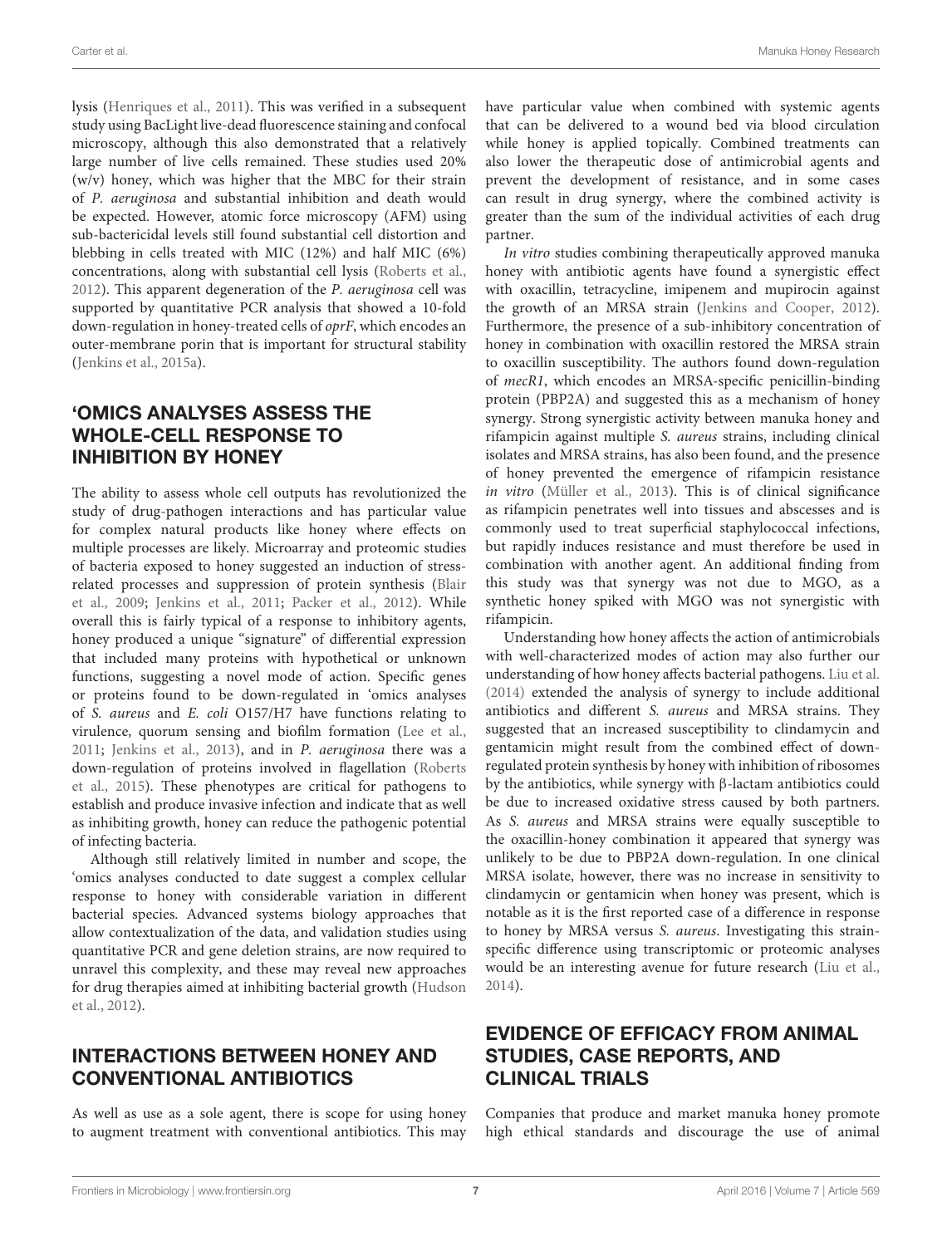lysis [\(Henriques et al.,](#page-8-29) [2011\)](#page-8-29). This was verified in a subsequent study using BacLight live-dead fluorescence staining and confocal microscopy, although this also demonstrated that a relatively large number of live cells remained. These studies used 20% (w/v) honey, which was higher that the MBC for their strain of P. aeruginosa and substantial inhibition and death would be expected. However, atomic force microscopy (AFM) using sub-bactericidal levels still found substantial cell distortion and blebbing in cells treated with MIC (12%) and half MIC (6%) concentrations, along with substantial cell lysis [\(Roberts et al.,](#page-9-12) [2012\)](#page-9-12). This apparent degeneration of the P. aeruginosa cell was supported by quantitative PCR analysis that showed a 10-fold down-regulation in honey-treated cells of oprF, which encodes an outer-membrane porin that is important for structural stability [\(Jenkins et al.,](#page-8-37) [2015a\)](#page-8-37).

### 'OMICS ANALYSES ASSESS THE WHOLE-CELL RESPONSE TO INHIBITION BY HONEY

The ability to assess whole cell outputs has revolutionized the study of drug-pathogen interactions and has particular value for complex natural products like honey where effects on multiple processes are likely. Microarray and proteomic studies of bacteria exposed to honey suggested an induction of stressrelated processes and suppression of protein synthesis [\(Blair](#page-8-13) [et al.,](#page-8-13) [2009;](#page-8-13) [Jenkins et al.,](#page-8-38) [2011;](#page-8-38) [Packer et al.,](#page-9-32) [2012\)](#page-9-32). While overall this is fairly typical of a response to inhibitory agents, honey produced a unique "signature" of differential expression that included many proteins with hypothetical or unknown functions, suggesting a novel mode of action. Specific genes or proteins found to be down-regulated in 'omics analyses of S. aureus and E. coli O157/H7 have functions relating to virulence, quorum sensing and biofilm formation [\(Lee et al.,](#page-8-39) [2011;](#page-8-39) [Jenkins et al.,](#page-8-40) [2013\)](#page-8-40), and in P. aeruginosa there was a down-regulation of proteins involved in flagellation [\(Roberts](#page-9-33) [et al.,](#page-9-33) [2015\)](#page-9-33). These phenotypes are critical for pathogens to establish and produce invasive infection and indicate that as well as inhibiting growth, honey can reduce the pathogenic potential of infecting bacteria.

Although still relatively limited in number and scope, the 'omics analyses conducted to date suggest a complex cellular response to honey with considerable variation in different bacterial species. Advanced systems biology approaches that allow contextualization of the data, and validation studies using quantitative PCR and gene deletion strains, are now required to unravel this complexity, and these may reveal new approaches for drug therapies aimed at inhibiting bacterial growth [\(Hudson](#page-8-41) [et al.,](#page-8-41) [2012\)](#page-8-41).

### INTERACTIONS BETWEEN HONEY AND CONVENTIONAL ANTIBIOTICS

As well as use as a sole agent, there is scope for using honey to augment treatment with conventional antibiotics. This may have particular value when combined with systemic agents that can be delivered to a wound bed via blood circulation while honey is applied topically. Combined treatments can also lower the therapeutic dose of antimicrobial agents and prevent the development of resistance, and in some cases can result in drug synergy, where the combined activity is greater than the sum of the individual activities of each drug partner.

In vitro studies combining therapeutically approved manuka honey with antibiotic agents have found a synergistic effect with oxacillin, tetracycline, imipenem and mupirocin against the growth of an MRSA strain [\(Jenkins and Cooper,](#page-8-28) [2012\)](#page-8-28). Furthermore, the presence of a sub-inhibitory concentration of honey in combination with oxacillin restored the MRSA strain to oxacillin susceptibility. The authors found down-regulation of mecR1, which encodes an MRSA-specific penicillin-binding protein (PBP2A) and suggested this as a mechanism of honey synergy. Strong synergistic activity between manuka honey and rifampicin against multiple S. aureus strains, including clinical isolates and MRSA strains, has also been found, and the presence of honey prevented the emergence of rifampicin resistance in vitro [\(Müller et al.,](#page-9-24) [2013\)](#page-9-24). This is of clinical significance as rifampicin penetrates well into tissues and abscesses and is commonly used to treat superficial staphylococcal infections, but rapidly induces resistance and must therefore be used in combination with another agent. An additional finding from this study was that synergy was not due to MGO, as a synthetic honey spiked with MGO was not synergistic with rifampicin.

Understanding how honey affects the action of antimicrobials with well-characterized modes of action may also further our understanding of how honey affects bacterial pathogens. [Liu et al.](#page-9-34) [\(2014\)](#page-9-34) extended the analysis of synergy to include additional antibiotics and different S. aureus and MRSA strains. They suggested that an increased susceptibility to clindamycin and gentamicin might result from the combined effect of downregulated protein synthesis by honey with inhibition of ribosomes by the antibiotics, while synergy with β-lactam antibiotics could be due to increased oxidative stress caused by both partners. As S. aureus and MRSA strains were equally susceptible to the oxacillin-honey combination it appeared that synergy was unlikely to be due to PBP2A down-regulation. In one clinical MRSA isolate, however, there was no increase in sensitivity to clindamycin or gentamicin when honey was present, which is notable as it is the first reported case of a difference in response to honey by MRSA versus S. aureus. Investigating this strainspecific difference using transcriptomic or proteomic analyses would be an interesting avenue for future research [\(Liu et al.,](#page-9-34) [2014\)](#page-9-34).

### EVIDENCE OF EFFICACY FROM ANIMAL STUDIES, CASE REPORTS, AND CLINICAL TRIALS

Companies that produce and market manuka honey promote high ethical standards and discourage the use of animal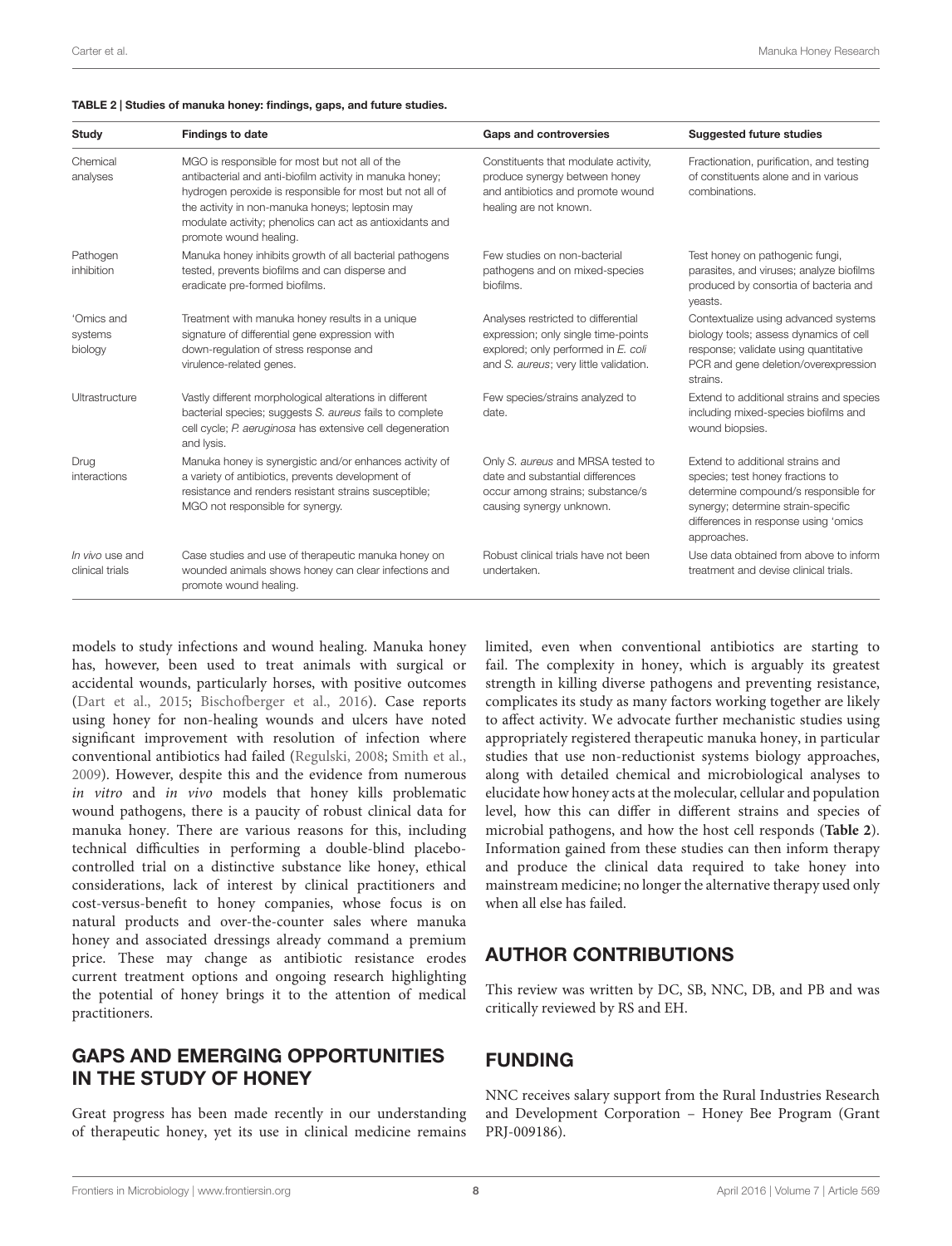#### <span id="page-7-0"></span>TABLE 2 | Studies of manuka honey: findings, gaps, and future studies.

| Study                              | <b>Findings to date</b>                                                                                                                                                                                                                                                                                         | <b>Gaps and controversies</b>                                                                                                                               | <b>Suggested future studies</b>                                                                                                                                                                           |
|------------------------------------|-----------------------------------------------------------------------------------------------------------------------------------------------------------------------------------------------------------------------------------------------------------------------------------------------------------------|-------------------------------------------------------------------------------------------------------------------------------------------------------------|-----------------------------------------------------------------------------------------------------------------------------------------------------------------------------------------------------------|
| Chemical<br>analyses               | MGO is responsible for most but not all of the<br>antibacterial and anti-biofilm activity in manuka honey;<br>hydrogen peroxide is responsible for most but not all of<br>the activity in non-manuka honeys; leptosin may<br>modulate activity; phenolics can act as antioxidants and<br>promote wound healing. | Constituents that modulate activity,<br>produce synergy between honey<br>and antibiotics and promote wound<br>healing are not known.                        | Fractionation, purification, and testing<br>of constituents alone and in various<br>combinations.                                                                                                         |
| Pathogen<br>inhibition             | Manuka honey inhibits growth of all bacterial pathogens<br>tested, prevents biofilms and can disperse and<br>eradicate pre-formed biofilms.                                                                                                                                                                     | Few studies on non-bacterial<br>pathogens and on mixed-species<br>biofilms.                                                                                 | Test honey on pathogenic fungi,<br>parasites, and viruses; analyze biofilms<br>produced by consortia of bacteria and<br>yeasts.                                                                           |
| 'Omics and<br>systems<br>biology   | Treatment with manuka honey results in a unique<br>signature of differential gene expression with<br>down-requlation of stress response and<br>virulence-related genes.                                                                                                                                         | Analyses restricted to differential<br>expression; only single time-points<br>explored; only performed in E. coli<br>and S. aureus; very little validation. | Contextualize using advanced systems<br>biology tools; assess dynamics of cell<br>response; validate using quantitative<br>PCR and gene deletion/overexpression<br>strains.                               |
| Ultrastructure                     | Vastly different morphological alterations in different<br>bacterial species; suggests S. aureus fails to complete<br>cell cycle; P. aeruginosa has extensive cell degeneration<br>and lysis.                                                                                                                   | Few species/strains analyzed to<br>date.                                                                                                                    | Extend to additional strains and species<br>including mixed-species biofilms and<br>wound biopsies.                                                                                                       |
| Drug<br>interactions               | Manuka honey is synergistic and/or enhances activity of<br>a variety of antibiotics, prevents development of<br>resistance and renders resistant strains susceptible;<br>MGO not responsible for synergy.                                                                                                       | Only S. aureus and MRSA tested to<br>date and substantial differences<br>occur among strains; substance/s<br>causing synergy unknown.                       | Extend to additional strains and<br>species; test honey fractions to<br>determine compound/s responsible for<br>synergy; determine strain-specific<br>differences in response using 'omics<br>approaches. |
| In vivo use and<br>clinical trials | Case studies and use of therapeutic manuka honey on<br>wounded animals shows honey can clear infections and<br>promote wound healing.                                                                                                                                                                           | Robust clinical trials have not been<br>undertaken.                                                                                                         | Use data obtained from above to inform<br>treatment and devise clinical trials.                                                                                                                           |

models to study infections and wound healing. Manuka honey has, however, been used to treat animals with surgical or accidental wounds, particularly horses, with positive outcomes [\(Dart et al.,](#page-8-6) [2015;](#page-8-6) [Bischofberger et al.,](#page-8-42) [2016\)](#page-8-42). Case reports using honey for non-healing wounds and ulcers have noted significant improvement with resolution of infection where conventional antibiotics had failed [\(Regulski,](#page-9-35) [2008;](#page-9-35) [Smith et al.,](#page-9-36) [2009\)](#page-9-36). However, despite this and the evidence from numerous in vitro and in vivo models that honey kills problematic wound pathogens, there is a paucity of robust clinical data for manuka honey. There are various reasons for this, including technical difficulties in performing a double-blind placebocontrolled trial on a distinctive substance like honey, ethical considerations, lack of interest by clinical practitioners and cost-versus-benefit to honey companies, whose focus is on natural products and over-the-counter sales where manuka honey and associated dressings already command a premium price. These may change as antibiotic resistance erodes current treatment options and ongoing research highlighting the potential of honey brings it to the attention of medical practitioners.

### GAPS AND EMERGING OPPORTUNITIES IN THE STUDY OF HONEY

Great progress has been made recently in our understanding of therapeutic honey, yet its use in clinical medicine remains limited, even when conventional antibiotics are starting to fail. The complexity in honey, which is arguably its greatest strength in killing diverse pathogens and preventing resistance, complicates its study as many factors working together are likely to affect activity. We advocate further mechanistic studies using appropriately registered therapeutic manuka honey, in particular studies that use non-reductionist systems biology approaches, along with detailed chemical and microbiological analyses to elucidate how honey acts at the molecular, cellular and population level, how this can differ in different strains and species of microbial pathogens, and how the host cell responds (**[Table 2](#page-7-0)**). Information gained from these studies can then inform therapy and produce the clinical data required to take honey into mainstream medicine; no longer the alternative therapy used only when all else has failed.

### AUTHOR CONTRIBUTIONS

This review was written by DC, SB, NNC, DB, and PB and was critically reviewed by RS and EH.

# FUNDING

NNC receives salary support from the Rural Industries Research and Development Corporation – Honey Bee Program (Grant PRJ-009186).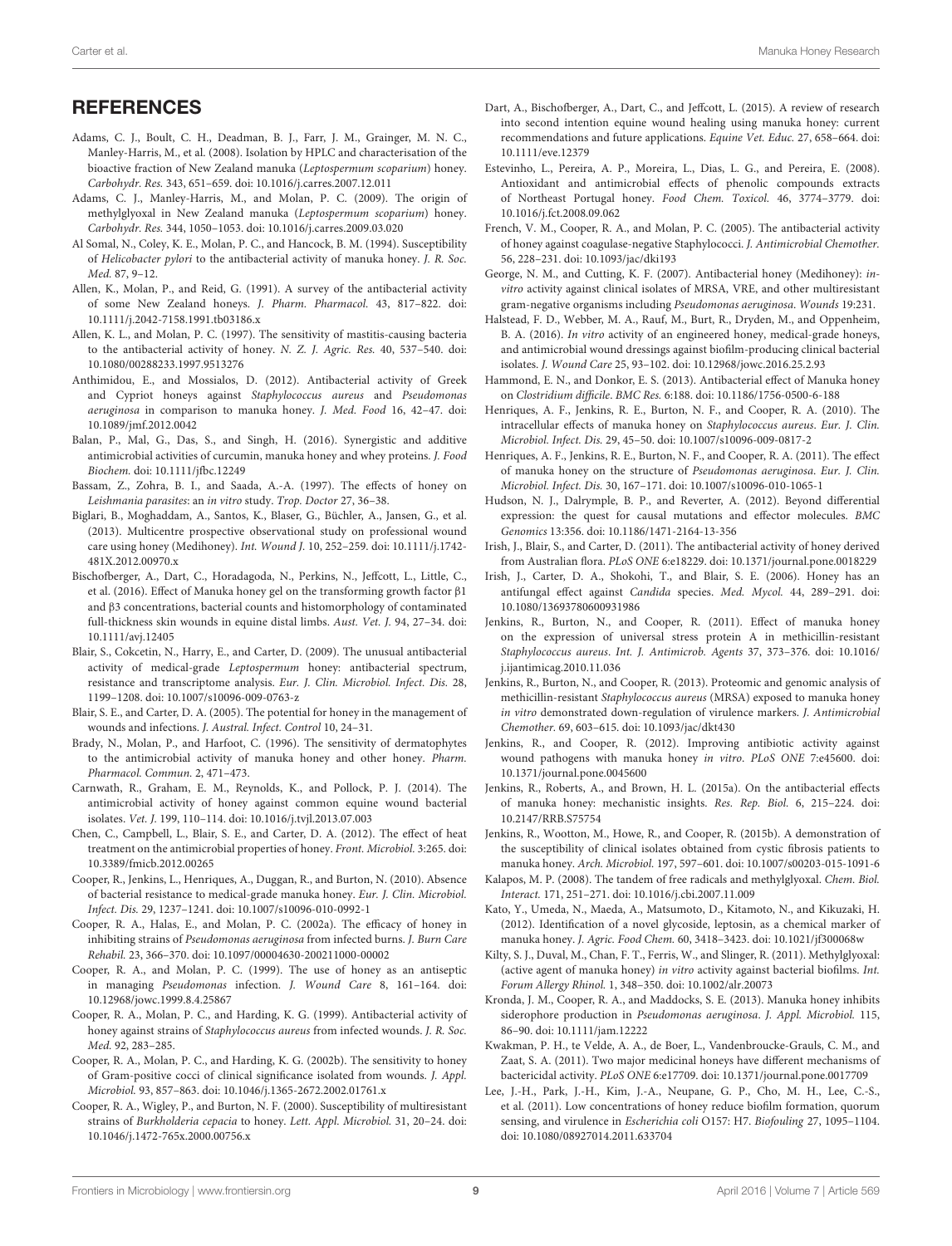### **REFERENCES**

- <span id="page-8-2"></span>Adams, C. J., Boult, C. H., Deadman, B. J., Farr, J. M., Grainger, M. N. C., Manley-Harris, M., et al. (2008). Isolation by HPLC and characterisation of the bioactive fraction of New Zealand manuka (Leptospermum scoparium) honey. Carbohydr. Res. 343, 651–659. doi: 10.1016/j.carres.2007.12.011
- <span id="page-8-3"></span>Adams, C. J., Manley-Harris, M., and Molan, P. C. (2009). The origin of methylglyoxal in New Zealand manuka (Leptospermum scoparium) honey. Carbohydr. Res. 344, 1050–1053. doi: 10.1016/j.carres.2009.03.020
- <span id="page-8-23"></span>Al Somal, N., Coley, K. E., Molan, P. C., and Hancock, B. M. (1994). Susceptibility of Helicobacter pylori to the antibacterial activity of manuka honey. J. R. Soc. Med. 87, 9–12.
- <span id="page-8-0"></span>Allen, K., Molan, P., and Reid, G. (1991). A survey of the antibacterial activity of some New Zealand honeys. J. Pharm. Pharmacol. 43, 817–822. doi: 10.1111/j.2042-7158.1991.tb03186.x
- <span id="page-8-17"></span>Allen, K. L., and Molan, P. C. (1997). The sensitivity of mastitis-causing bacteria to the antibacterial activity of honey. N. Z. J. Agric. Res. 40, 537–540. doi: 10.1080/00288233.1997.9513276
- <span id="page-8-26"></span>Anthimidou, E., and Mossialos, D. (2012). Antibacterial activity of Greek and Cypriot honeys against Staphylococcus aureus and Pseudomonas aeruginosa in comparison to manuka honey. J. Med. Food 16, 42–47. doi: 10.1089/jmf.2012.0042
- <span id="page-8-18"></span>Balan, P., Mal, G., Das, S., and Singh, H. (2016). Synergistic and additive antimicrobial activities of curcumin, manuka honey and whey proteins. J. Food Biochem. doi: 10.1111/jfbc.12249
- <span id="page-8-36"></span>Bassam, Z., Zohra, B. I., and Saada, A.-A. (1997). The effects of honey on Leishmania parasites: an in vitro study. Trop. Doctor 27, 36–38.
- <span id="page-8-5"></span>Biglari, B., Moghaddam, A., Santos, K., Blaser, G., Büchler, A., Jansen, G., et al. (2013). Multicentre prospective observational study on professional wound care using honey (Medihoney). Int. Wound J. 10, 252–259. doi: 10.1111/j.1742- 481X.2012.00970.x
- <span id="page-8-42"></span>Bischofberger, A., Dart, C., Horadagoda, N., Perkins, N., Jeffcott, L., Little, C., et al. (2016). Effect of Manuka honey gel on the transforming growth factor β1 and β3 concentrations, bacterial counts and histomorphology of contaminated full-thickness skin wounds in equine distal limbs. Aust. Vet. J. 94, 27–34. doi: 10.1111/avj.12405
- <span id="page-8-13"></span>Blair, S., Cokcetin, N., Harry, E., and Carter, D. (2009). The unusual antibacterial activity of medical-grade Leptospermum honey: antibacterial spectrum, resistance and transcriptome analysis. Eur. J. Clin. Microbiol. Infect. Dis. 28, 1199–1208. doi: 10.1007/s10096-009-0763-z
- <span id="page-8-11"></span>Blair, S. E., and Carter, D. A. (2005). The potential for honey in the management of wounds and infections. J. Austral. Infect. Control 10, 24–31.
- <span id="page-8-34"></span>Brady, N., Molan, P., and Harfoot, C. (1996). The sensitivity of dermatophytes to the antimicrobial activity of manuka honey and other honey. Pharm. Pharmacol. Commun. 2, 471–473.
- <span id="page-8-16"></span>Carnwath, R., Graham, E. M., Reynolds, K., and Pollock, P. J. (2014). The antimicrobial activity of honey against common equine wound bacterial isolates. Vet. J. 199, 110–114. doi: 10.1016/j.tvjl.2013.07.003
- <span id="page-8-8"></span>Chen, C., Campbell, L., Blair, S. E., and Carter, D. A. (2012). The effect of heat treatment on the antimicrobial properties of honey. Front. Microbiol. 3:265. doi: 10.3389/fmicb.2012.00265
- <span id="page-8-14"></span>Cooper, R., Jenkins, L., Henriques, A., Duggan, R., and Burton, N. (2010). Absence of bacterial resistance to medical-grade manuka honey. Eur. J. Clin. Microbiol. Infect. Dis. 29, 1237–1241. doi: 10.1007/s10096-010-0992-1
- <span id="page-8-25"></span>Cooper, R. A., Halas, E., and Molan, P. C. (2002a). The efficacy of honey in inhibiting strains of Pseudomonas aeruginosa from infected burns. J. Burn Care Rehabil. 23, 366–370. doi: 10.1097/00004630-200211000-00002
- <span id="page-8-24"></span>Cooper, R. A., and Molan, P. C. (1999). The use of honey as an antiseptic in managing Pseudomonas infection. J. Wound Care 8, 161–164. doi: 10.12968/jowc.1999.8.4.25867
- <span id="page-8-31"></span>Cooper, R. A., Molan, P. C., and Harding, K. G. (1999). Antibacterial activity of honey against strains of Staphylococcus aureus from infected wounds. J. R. Soc. Med. 92, 283–285.
- <span id="page-8-22"></span>Cooper, R. A., Molan, P. C., and Harding, K. G. (2002b). The sensitivity to honey of Gram-positive cocci of clinical significance isolated from wounds. J. Appl. Microbiol. 93, 857–863. doi: 10.1046/j.1365-2672.2002.01761.x
- <span id="page-8-20"></span>Cooper, R. A., Wigley, P., and Burton, N. F. (2000). Susceptibility of multiresistant strains of Burkholderia cepacia to honey. Lett. Appl. Microbiol. 31, 20–24. doi: 10.1046/j.1472-765x.2000.00756.x
- <span id="page-8-6"></span>Dart, A., Bischofberger, A., Dart, C., and Jeffcott, L. (2015). A review of research into second intention equine wound healing using manuka honey: current recommendations and future applications. Equine Vet. Educ. 27, 658–664. doi: 10.1111/eve.12379
- <span id="page-8-10"></span>Estevinho, L., Pereira, A. P., Moreira, L., Dias, L. G., and Pereira, E. (2008). Antioxidant and antimicrobial effects of phenolic compounds extracts of Northeast Portugal honey. Food Chem. Toxicol. 46, 3774–3779. doi: 10.1016/j.fct.2008.09.062
- <span id="page-8-32"></span>French, V. M., Cooper, R. A., and Molan, P. C. (2005). The antibacterial activity of honey against coagulase-negative Staphylococci. J. Antimicrobial Chemother. 56, 228–231. doi: 10.1093/jac/dki193
- <span id="page-8-12"></span>George, N. M., and Cutting, K. F. (2007). Antibacterial honey (Medihoney): invitro activity against clinical isolates of MRSA, VRE, and other multiresistant gram-negative organisms including Pseudomonas aeruginosa. Wounds 19:231.
- <span id="page-8-15"></span>Halstead, F. D., Webber, M. A., Rauf, M., Burt, R., Dryden, M., and Oppenheim, B. A. (2016). In vitro activity of an engineered honey, medical-grade honeys, and antimicrobial wound dressings against biofilm-producing clinical bacterial isolates. J. Wound Care 25, 93–102. doi: 10.12968/jowc.2016.25.2.93
- <span id="page-8-21"></span>Hammond, E. N., and Donkor, E. S. (2013). Antibacterial effect of Manuka honey on Clostridium difficile. BMC Res. 6:188. doi: 10.1186/1756-0500-6-188
- <span id="page-8-30"></span>Henriques, A. F., Jenkins, R. E., Burton, N. F., and Cooper, R. A. (2010). The intracellular effects of manuka honey on Staphylococcus aureus. Eur. J. Clin. Microbiol. Infect. Dis. 29, 45–50. doi: 10.1007/s10096-009-0817-2
- <span id="page-8-29"></span>Henriques, A. F., Jenkins, R. E., Burton, N. F., and Cooper, R. A. (2011). The effect of manuka honey on the structure of Pseudomonas aeruginosa. Eur. J. Clin. Microbiol. Infect. Dis. 30, 167–171. doi: 10.1007/s10096-010-1065-1
- <span id="page-8-41"></span>Hudson, N. J., Dalrymple, B. P., and Reverter, A. (2012). Beyond differential expression: the quest for causal mutations and effector molecules. BMC Genomics 13:356. doi: 10.1186/1471-2164-13-356
- <span id="page-8-1"></span>Irish, J., Blair, S., and Carter, D. (2011). The antibacterial activity of honey derived from Australian flora. PLoS ONE 6:e18229. doi: 10.1371/journal.pone.0018229
- <span id="page-8-35"></span>Irish, J., Carter, D. A., Shokohi, T., and Blair, S. E. (2006). Honey has an antifungal effect against Candida species. Med. Mycol. 44, 289–291. doi: 10.1080/13693780600931986
- <span id="page-8-38"></span>Jenkins, R., Burton, N., and Cooper, R. (2011). Effect of manuka honey on the expression of universal stress protein A in methicillin-resistant Staphylococcus aureus. Int. J. Antimicrob. Agents 37, 373–376. doi: 10.1016/ j.ijantimicag.2010.11.036
- <span id="page-8-40"></span>Jenkins, R., Burton, N., and Cooper, R. (2013). Proteomic and genomic analysis of methicillin-resistant Staphylococcus aureus (MRSA) exposed to manuka honey in vitro demonstrated down-regulation of virulence markers. J. Antimicrobial Chemother. 69, 603–615. doi: 10.1093/jac/dkt430
- <span id="page-8-28"></span>Jenkins, R., and Cooper, R. (2012). Improving antibiotic activity against wound pathogens with manuka honey in vitro. PLoS ONE 7:e45600. doi: 10.1371/journal.pone.0045600
- <span id="page-8-37"></span>Jenkins, R., Roberts, A., and Brown, H. L. (2015a). On the antibacterial effects of manuka honey: mechanistic insights. Res. Rep. Biol. 6, 215–224. doi: 10.2147/RRB.S75754
- <span id="page-8-19"></span>Jenkins, R., Wootton, M., Howe, R., and Cooper, R. (2015b). A demonstration of the susceptibility of clinical isolates obtained from cystic fibrosis patients to manuka honey. Arch. Microbiol. 197, 597–601. doi: 10.1007/s00203-015-1091-6
- <span id="page-8-4"></span>Kalapos, M. P. (2008). The tandem of free radicals and methylglyoxal. Chem. Biol. Interact. 171, 251–271. doi: 10.1016/j.cbi.2007.11.009
- <span id="page-8-9"></span>Kato, Y., Umeda, N., Maeda, A., Matsumoto, D., Kitamoto, N., and Kikuzaki, H. (2012). Identification of a novel glycoside, leptosin, as a chemical marker of manuka honey. J. Agric. Food Chem. 60, 3418–3423. doi: 10.1021/jf300068w
- <span id="page-8-33"></span>Kilty, S. J., Duval, M., Chan, F. T., Ferris, W., and Slinger, R. (2011). Methylglyoxal: (active agent of manuka honey) in vitro activity against bacterial biofilms. Int. Forum Allergy Rhinol. 1, 348–350. doi: 10.1002/alr.20073
- <span id="page-8-27"></span>Kronda, J. M., Cooper, R. A., and Maddocks, S. E. (2013). Manuka honey inhibits siderophore production in Pseudomonas aeruginosa. J. Appl. Microbiol. 115, 86–90. doi: 10.1111/jam.12222
- <span id="page-8-7"></span>Kwakman, P. H., te Velde, A. A., de Boer, L., Vandenbroucke-Grauls, C. M., and Zaat, S. A. (2011). Two major medicinal honeys have different mechanisms of bactericidal activity. PLoS ONE 6:e17709. doi: 10.1371/journal.pone.0017709
- <span id="page-8-39"></span>Lee, J.-H., Park, J.-H., Kim, J.-A., Neupane, G. P., Cho, M. H., Lee, C.-S., et al. (2011). Low concentrations of honey reduce biofilm formation, quorum sensing, and virulence in Escherichia coli O157: H7. Biofouling 27, 1095–1104. doi: 10.1080/08927014.2011.633704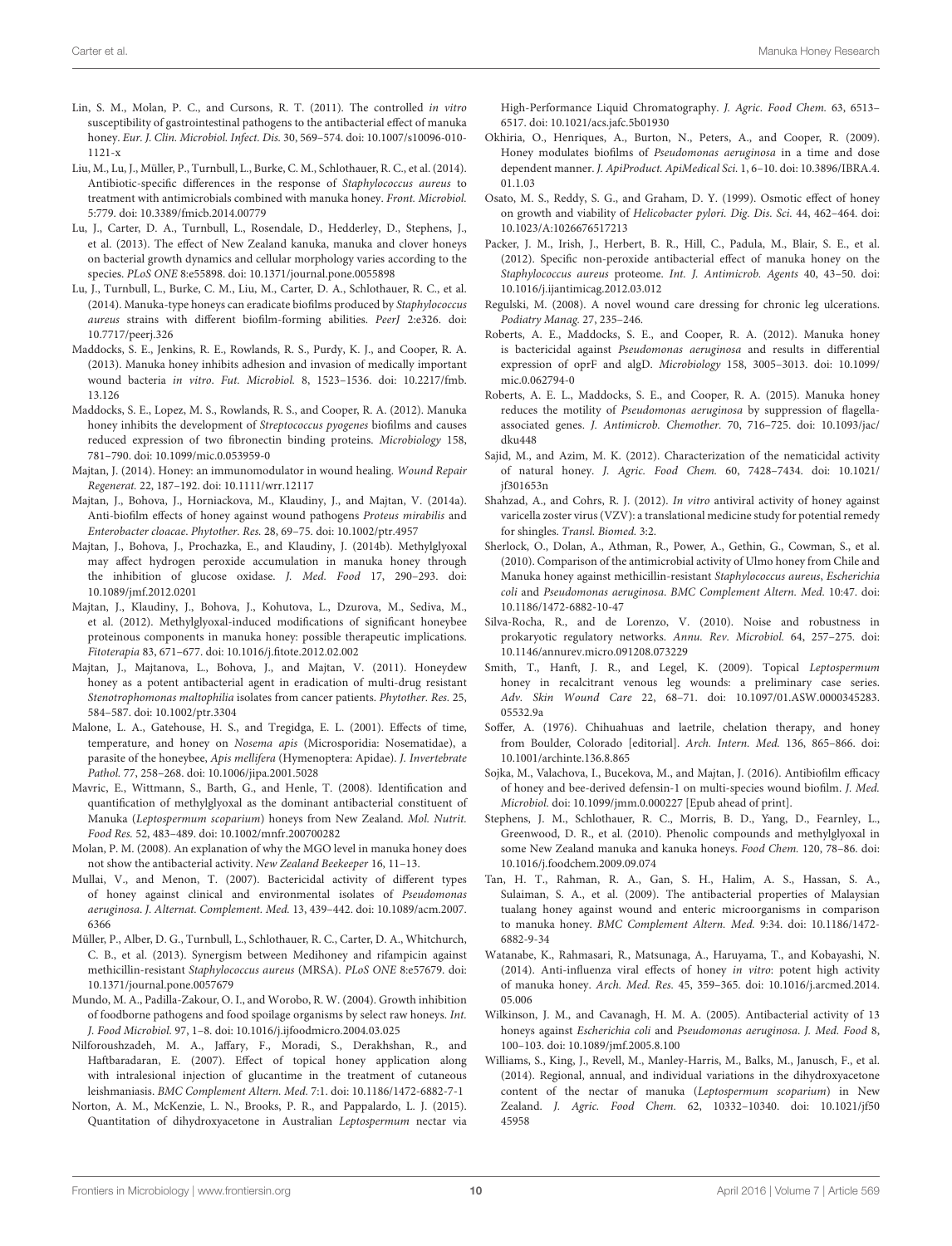- <span id="page-9-19"></span>Lin, S. M., Molan, P. C., and Cursons, R. T. (2011). The controlled in vitro susceptibility of gastrointestinal pathogens to the antibacterial effect of manuka honey. Eur. J. Clin. Microbiol. Infect. Dis. 30, 569–574. doi: 10.1007/s10096-010- 1121-x
- <span id="page-9-34"></span>Liu, M., Lu, J., Müller, P., Turnbull, L., Burke, C. M., Schlothauer, R. C., et al. (2014). Antibiotic-specific differences in the response of Staphylococcus aureus to treatment with antimicrobials combined with manuka honey. Front. Microbiol. 5:779. doi: 10.3389/fmicb.2014.00779
- <span id="page-9-7"></span>Lu, J., Carter, D. A., Turnbull, L., Rosendale, D., Hedderley, D., Stephens, J., et al. (2013). The effect of New Zealand kanuka, manuka and clover honeys on bacterial growth dynamics and cellular morphology varies according to the species. PLoS ONE 8:e55898. doi: 10.1371/journal.pone.0055898
- <span id="page-9-14"></span>Lu, J., Turnbull, L., Burke, C. M., Liu, M., Carter, D. A., Schlothauer, R. C., et al. (2014). Manuka-type honeys can eradicate biofilms produced by Staphylococcus aureus strains with different biofilm-forming abilities. PeerJ 2:e326. doi: 10.7717/peerj.326
- <span id="page-9-13"></span>Maddocks, S. E., Jenkins, R. E., Rowlands, R. S., Purdy, K. J., and Cooper, R. A. (2013). Manuka honey inhibits adhesion and invasion of medically important wound bacteria in vitro. Fut. Microbiol. 8, 1523–1536. doi: 10.2217/fmb. 13.126
- <span id="page-9-11"></span>Maddocks, S. E., Lopez, M. S., Rowlands, R. S., and Cooper, R. A. (2012). Manuka honey inhibits the development of Streptococcus pyogenes biofilms and causes reduced expression of two fibronectin binding proteins. Microbiology 158, 781–790. doi: 10.1099/mic.0.053959-0
- <span id="page-9-5"></span>Majtan, J. (2014). Honey: an immunomodulator in wound healing. Wound Repair Regenerat. 22, 187–192. doi: 10.1111/wrr.12117
- <span id="page-9-15"></span>Majtan, J., Bohova, J., Horniackova, M., Klaudiny, J., and Majtan, V. (2014a). Anti-biofilm effects of honey against wound pathogens Proteus mirabilis and Enterobacter cloacae. Phytother. Res. 28, 69–75. doi: 10.1002/ptr.4957
- <span id="page-9-4"></span>Majtan, J., Bohova, J., Prochazka, E., and Klaudiny, J. (2014b). Methylglyoxal may affect hydrogen peroxide accumulation in manuka honey through the inhibition of glucose oxidase. J. Med. Food 17, 290–293. doi: 10.1089/jmf.2012.0201
- <span id="page-9-8"></span>Majtan, J., Klaudiny, J., Bohova, J., Kohutova, L., Dzurova, M., Sediva, M., et al. (2012). Methylglyoxal-induced modifications of significant honeybee proteinous components in manuka honey: possible therapeutic implications. Fitoterapia 83, 671–677. doi: 10.1016/j.fitote.2012.02.002
- <span id="page-9-25"></span>Majtan, J., Majtanova, L., Bohova, J., and Majtan, V. (2011). Honeydew honey as a potent antibacterial agent in eradication of multi-drug resistant Stenotrophomonas maltophilia isolates from cancer patients. Phytother. Res. 25, 584–587. doi: 10.1002/ptr.3304
- <span id="page-9-28"></span>Malone, L. A., Gatehouse, H. S., and Tregidga, E. L. (2001). Effects of time, temperature, and honey on Nosema apis (Microsporidia: Nosematidae), a parasite of the honeybee, Apis mellifera (Hymenoptera: Apidae). J. Invertebrate Pathol. 77, 258–268. doi: 10.1006/jipa.2001.5028
- <span id="page-9-1"></span>Mavric, E., Wittmann, S., Barth, G., and Henle, T. (2008). Identification and quantification of methylglyoxal as the dominant antibacterial constituent of Manuka (Leptospermum scoparium) honeys from New Zealand. Mol. Nutrit. Food Res. 52, 483–489. doi: 10.1002/mnfr.200700282
- <span id="page-9-6"></span>Molan, P. M. (2008). An explanation of why the MGO level in manuka honey does not show the antibacterial activity. New Zealand Beekeeper 16, 11–13.
- <span id="page-9-23"></span>Mullai, V., and Menon, T. (2007). Bactericidal activity of different types of honey against clinical and environmental isolates of Pseudomonas aeruginosa. J. Alternat. Complement. Med. 13, 439–442. doi: 10.1089/acm.2007. 6366
- <span id="page-9-24"></span>Müller, P., Alber, D. G., Turnbull, L., Schlothauer, R. C., Carter, D. A., Whitchurch, C. B., et al. (2013). Synergism between Medihoney and rifampicin against methicillin-resistant Staphylococcus aureus (MRSA). PLoS ONE 8:e57679. doi: 10.1371/journal.pone.0057679
- <span id="page-9-18"></span>Mundo, M. A., Padilla-Zakour, O. I., and Worobo, R. W. (2004). Growth inhibition of foodborne pathogens and food spoilage organisms by select raw honeys. Int. J. Food Microbiol. 97, 1–8. doi: 10.1016/j.ijfoodmicro.2004.03.025
- <span id="page-9-29"></span>Nilforoushzadeh, M. A., Jaffary, F., Moradi, S., Derakhshan, R., and Haftbaradaran, E. (2007). Effect of topical honey application along with intralesional injection of glucantime in the treatment of cutaneous leishmaniasis. BMC Complement Altern. Med. 7:1. doi: 10.1186/1472-6882-7-1
- <span id="page-9-3"></span>Norton, A. M., McKenzie, L. N., Brooks, P. R., and Pappalardo, L. J. (2015). Quantitation of dihydroxyacetone in Australian Leptospermum nectar via

High-Performance Liquid Chromatography. J. Agric. Food Chem. 63, 6513– 6517. doi: 10.1021/acs.jafc.5b01930

- <span id="page-9-16"></span>Okhiria, O., Henriques, A., Burton, N., Peters, A., and Cooper, R. (2009). Honey modulates biofilms of Pseudomonas aeruginosa in a time and dose dependent manner. J. ApiProduct. ApiMedical Sci. 1, 6–10. doi: 10.3896/IBRA.4. 01.1.03
- <span id="page-9-22"></span>Osato, M. S., Reddy, S. G., and Graham, D. Y. (1999). Osmotic effect of honey on growth and viability of Helicobacter pylori. Dig. Dis. Sci. 44, 462–464. doi: 10.1023/A:1026676517213
- <span id="page-9-32"></span>Packer, J. M., Irish, J., Herbert, B. R., Hill, C., Padula, M., Blair, S. E., et al. (2012). Specific non-peroxide antibacterial effect of manuka honey on the Staphylococcus aureus proteome. Int. J. Antimicrob. Agents 40, 43–50. doi: 10.1016/j.ijantimicag.2012.03.012
- <span id="page-9-35"></span>Regulski, M. (2008). A novel wound care dressing for chronic leg ulcerations. Podiatry Manag. 27, 235–246.
- <span id="page-9-12"></span>Roberts, A. E., Maddocks, S. E., and Cooper, R. A. (2012). Manuka honey is bactericidal against Pseudomonas aeruginosa and results in differential expression of oprF and algD. Microbiology 158, 3005–3013. doi: 10.1099/ mic.0.062794-0
- <span id="page-9-33"></span>Roberts, A. E. L., Maddocks, S. E., and Cooper, R. A. (2015). Manuka honey reduces the motility of Pseudomonas aeruginosa by suppression of flagellaassociated genes. J. Antimicrob. Chemother. 70, 716–725. doi: 10.1093/jac/ dku448
- <span id="page-9-30"></span>Sajid, M., and Azim, M. K. (2012). Characterization of the nematicidal activity of natural honey. J. Agric. Food Chem. 60, 7428–7434. doi: 10.1021/ jf301653n
- <span id="page-9-26"></span>Shahzad, A., and Cohrs, R. J. (2012). In vitro antiviral activity of honey against varicella zoster virus (VZV): a translational medicine study for potential remedy for shingles. Transl. Biomed. 3:2.
- <span id="page-9-21"></span>Sherlock, O., Dolan, A., Athman, R., Power, A., Gethin, G., Cowman, S., et al. (2010). Comparison of the antimicrobial activity of Ulmo honey from Chile and Manuka honey against methicillin-resistant Staphylococcus aureus, Escherichia coli and Pseudomonas aeruginosa. BMC Complement Altern. Med. 10:47. doi: 10.1186/1472-6882-10-47
- <span id="page-9-31"></span>Silva-Rocha, R., and de Lorenzo, V. (2010). Noise and robustness in prokaryotic regulatory networks. Annu. Rev. Microbiol. 64, 257–275. doi: 10.1146/annurev.micro.091208.073229
- <span id="page-9-36"></span>Smith, T., Hanft, J. R., and Legel, K. (2009). Topical Leptospermum honey in recalcitrant venous leg wounds: a preliminary case series. Adv. Skin Wound Care 22, 68–71. doi: 10.1097/01.ASW.0000345283. 05532.9a
- <span id="page-9-0"></span>Soffer, A. (1976). Chihuahuas and laetrile, chelation therapy, and honey from Boulder, Colorado [editorial]. Arch. Intern. Med. 136, 865–866. doi: 10.1001/archinte.136.8.865
- <span id="page-9-17"></span>Sojka, M., Valachova, I., Bucekova, M., and Majtan, J. (2016). Antibiofilm efficacy of honey and bee-derived defensin-1 on multi-species wound biofilm. J. Med. Microbiol. doi: 10.1099/jmm.0.000227 [Epub ahead of print].
- <span id="page-9-9"></span>Stephens, J. M., Schlothauer, R. C., Morris, B. D., Yang, D., Fearnley, L., Greenwood, D. R., et al. (2010). Phenolic compounds and methylglyoxal in some New Zealand manuka and kanuka honeys. Food Chem. 120, 78–86. doi: 10.1016/j.foodchem.2009.09.074
- <span id="page-9-10"></span>Tan, H. T., Rahman, R. A., Gan, S. H., Halim, A. S., Hassan, S. A., Sulaiman, S. A., et al. (2009). The antibacterial properties of Malaysian tualang honey against wound and enteric microorganisms in comparison to manuka honey. BMC Complement Altern. Med. 9:34. doi: 10.1186/1472- 6882-9-34
- <span id="page-9-27"></span>Watanabe, K., Rahmasari, R., Matsunaga, A., Haruyama, T., and Kobayashi, N. (2014). Anti-influenza viral effects of honey in vitro: potent high activity of manuka honey. Arch. Med. Res. 45, 359–365. doi: 10.1016/j.arcmed.2014. 05.006
- <span id="page-9-20"></span>Wilkinson, J. M., and Cavanagh, H. M. A. (2005). Antibacterial activity of 13 honeys against Escherichia coli and Pseudomonas aeruginosa. J. Med. Food 8, 100–103. doi: 10.1089/jmf.2005.8.100
- <span id="page-9-2"></span>Williams, S., King, J., Revell, M., Manley-Harris, M., Balks, M., Janusch, F., et al. (2014). Regional, annual, and individual variations in the dihydroxyacetone content of the nectar of manuka (Leptospermum scoparium) in New Zealand. J. Agric. Food Chem. 62, 10332–10340. doi: 10.1021/jf50 45958